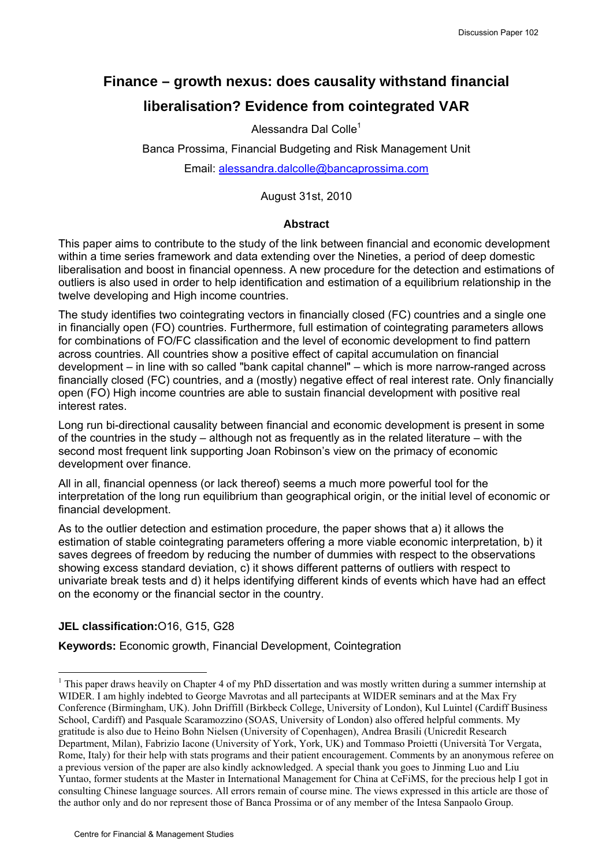# **Finance – growth nexus: does causality withstand financial liberalisation? Evidence from cointegrated VAR**

Alessandra Dal Colle<sup>1</sup>

Banca Prossima, Financial Budgeting and Risk Management Unit

Email: alessandra.dalcolle@bancaprossima.com

August 31st, 2010

## **Abstract**

This paper aims to contribute to the study of the link between financial and economic development within a time series framework and data extending over the Nineties, a period of deep domestic liberalisation and boost in financial openness. A new procedure for the detection and estimations of outliers is also used in order to help identification and estimation of a equilibrium relationship in the twelve developing and High income countries.

The study identifies two cointegrating vectors in financially closed (FC) countries and a single one in financially open (FO) countries. Furthermore, full estimation of cointegrating parameters allows for combinations of FO/FC classification and the level of economic development to find pattern across countries. All countries show a positive effect of capital accumulation on financial development – in line with so called "bank capital channel" – which is more narrow-ranged across financially closed (FC) countries, and a (mostly) negative effect of real interest rate. Only financially open (FO) High income countries are able to sustain financial development with positive real interest rates.

Long run bi-directional causality between financial and economic development is present in some of the countries in the study – although not as frequently as in the related literature – with the second most frequent link supporting Joan Robinson's view on the primacy of economic development over finance.

All in all, financial openness (or lack thereof) seems a much more powerful tool for the interpretation of the long run equilibrium than geographical origin, or the initial level of economic or financial development.

As to the outlier detection and estimation procedure, the paper shows that a) it allows the estimation of stable cointegrating parameters offering a more viable economic interpretation, b) it saves degrees of freedom by reducing the number of dummies with respect to the observations showing excess standard deviation, c) it shows different patterns of outliers with respect to univariate break tests and d) it helps identifying different kinds of events which have had an effect on the economy or the financial sector in the country.

## **JEL classification:**O16, G15, G28

 $\overline{a}$ 

**Keywords:** Economic growth, Financial Development, Cointegration

<sup>&</sup>lt;sup>1</sup> This paper draws heavily on Chapter 4 of my PhD dissertation and was mostly written during a summer internship at WIDER. I am highly indebted to George Mavrotas and all partecipants at WIDER seminars and at the Max Fry Conference (Birmingham, UK). John Driffill (Birkbeck College, University of London), Kul Luintel (Cardiff Business School, Cardiff) and Pasquale Scaramozzino (SOAS, University of London) also offered helpful comments. My gratitude is also due to Heino Bohn Nielsen (University of Copenhagen), Andrea Brasili (Unicredit Research Department, Milan), Fabrizio Iacone (University of York, York, UK) and Tommaso Proietti (Università Tor Vergata, Rome, Italy) for their help with stats programs and their patient encouragement. Comments by an anonymous referee on a previous version of the paper are also kindly acknowledged. A special thank you goes to Jinming Luo and Liu Yuntao, former students at the Master in International Management for China at CeFiMS, for the precious help I got in consulting Chinese language sources. All errors remain of course mine. The views expressed in this article are those of the author only and do nor represent those of Banca Prossima or of any member of the Intesa Sanpaolo Group.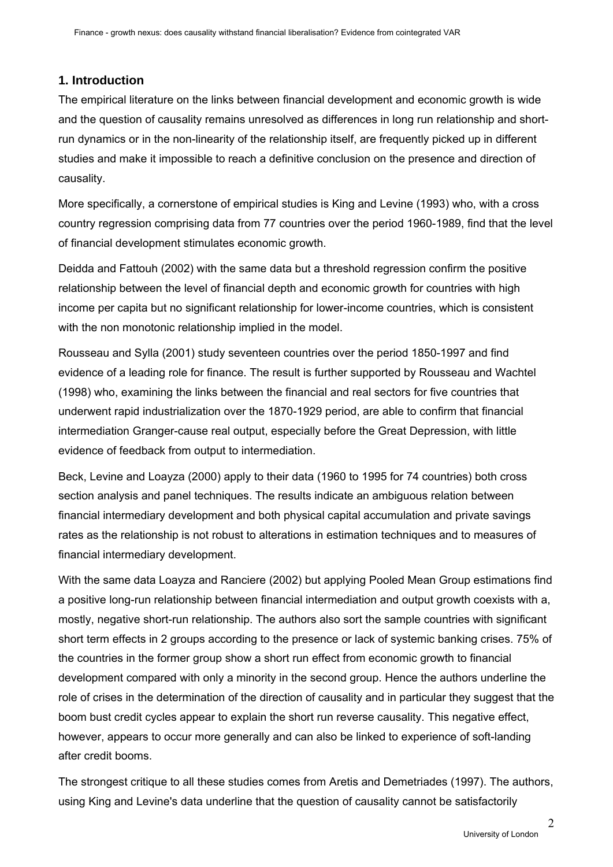## **1. Introduction**

The empirical literature on the links between financial development and economic growth is wide and the question of causality remains unresolved as differences in long run relationship and shortrun dynamics or in the non-linearity of the relationship itself, are frequently picked up in different studies and make it impossible to reach a definitive conclusion on the presence and direction of causality.

More specifically, a cornerstone of empirical studies is King and Levine (1993) who, with a cross country regression comprising data from 77 countries over the period 1960-1989, find that the level of financial development stimulates economic growth.

Deidda and Fattouh (2002) with the same data but a threshold regression confirm the positive relationship between the level of financial depth and economic growth for countries with high income per capita but no significant relationship for lower-income countries, which is consistent with the non monotonic relationship implied in the model.

Rousseau and Sylla (2001) study seventeen countries over the period 1850-1997 and find evidence of a leading role for finance. The result is further supported by Rousseau and Wachtel (1998) who, examining the links between the financial and real sectors for five countries that underwent rapid industrialization over the 1870-1929 period, are able to confirm that financial intermediation Granger-cause real output, especially before the Great Depression, with little evidence of feedback from output to intermediation.

Beck, Levine and Loayza (2000) apply to their data (1960 to 1995 for 74 countries) both cross section analysis and panel techniques. The results indicate an ambiguous relation between financial intermediary development and both physical capital accumulation and private savings rates as the relationship is not robust to alterations in estimation techniques and to measures of financial intermediary development.

With the same data Loayza and Ranciere (2002) but applying Pooled Mean Group estimations find a positive long-run relationship between financial intermediation and output growth coexists with a, mostly, negative short-run relationship. The authors also sort the sample countries with significant short term effects in 2 groups according to the presence or lack of systemic banking crises. 75% of the countries in the former group show a short run effect from economic growth to financial development compared with only a minority in the second group. Hence the authors underline the role of crises in the determination of the direction of causality and in particular they suggest that the boom bust credit cycles appear to explain the short run reverse causality. This negative effect, however, appears to occur more generally and can also be linked to experience of soft-landing after credit booms.

The strongest critique to all these studies comes from Aretis and Demetriades (1997). The authors, using King and Levine's data underline that the question of causality cannot be satisfactorily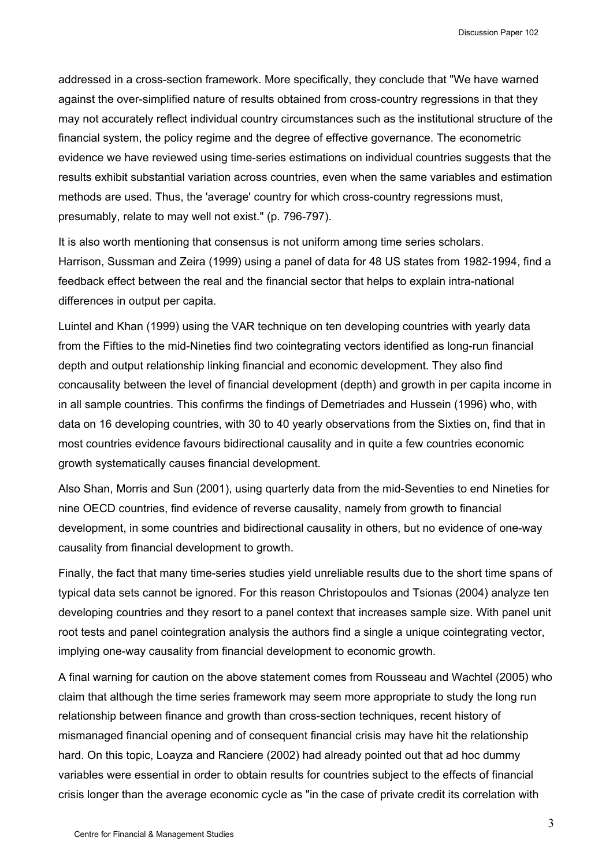addressed in a cross-section framework. More specifically, they conclude that "We have warned against the over-simplified nature of results obtained from cross-country regressions in that they may not accurately reflect individual country circumstances such as the institutional structure of the financial system, the policy regime and the degree of effective governance. The econometric evidence we have reviewed using time-series estimations on individual countries suggests that the results exhibit substantial variation across countries, even when the same variables and estimation methods are used. Thus, the 'average' country for which cross-country regressions must, presumably, relate to may well not exist." (p. 796-797).

It is also worth mentioning that consensus is not uniform among time series scholars. Harrison, Sussman and Zeira (1999) using a panel of data for 48 US states from 1982-1994, find a feedback effect between the real and the financial sector that helps to explain intra-national differences in output per capita.

Luintel and Khan (1999) using the VAR technique on ten developing countries with yearly data from the Fifties to the mid-Nineties find two cointegrating vectors identified as long-run financial depth and output relationship linking financial and economic development. They also find concausality between the level of financial development (depth) and growth in per capita income in in all sample countries. This confirms the findings of Demetriades and Hussein (1996) who, with data on 16 developing countries, with 30 to 40 yearly observations from the Sixties on, find that in most countries evidence favours bidirectional causality and in quite a few countries economic growth systematically causes financial development.

Also Shan, Morris and Sun (2001), using quarterly data from the mid-Seventies to end Nineties for nine OECD countries, find evidence of reverse causality, namely from growth to financial development, in some countries and bidirectional causality in others, but no evidence of one-way causality from financial development to growth.

Finally, the fact that many time-series studies yield unreliable results due to the short time spans of typical data sets cannot be ignored. For this reason Christopoulos and Tsionas (2004) analyze ten developing countries and they resort to a panel context that increases sample size. With panel unit root tests and panel cointegration analysis the authors find a single a unique cointegrating vector, implying one-way causality from financial development to economic growth.

A final warning for caution on the above statement comes from Rousseau and Wachtel (2005) who claim that although the time series framework may seem more appropriate to study the long run relationship between finance and growth than cross-section techniques, recent history of mismanaged financial opening and of consequent financial crisis may have hit the relationship hard. On this topic, Loayza and Ranciere (2002) had already pointed out that ad hoc dummy variables were essential in order to obtain results for countries subject to the effects of financial crisis longer than the average economic cycle as "in the case of private credit its correlation with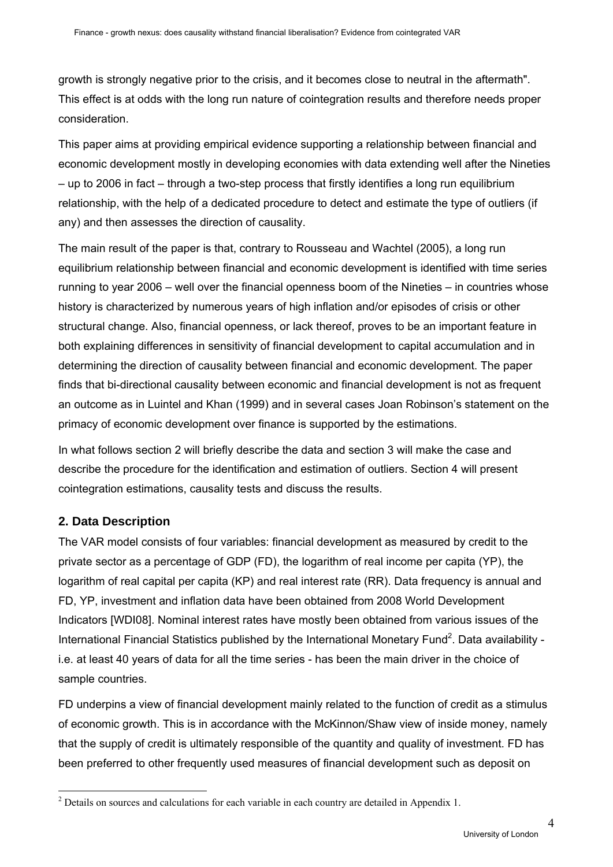growth is strongly negative prior to the crisis, and it becomes close to neutral in the aftermath". This effect is at odds with the long run nature of cointegration results and therefore needs proper consideration.

This paper aims at providing empirical evidence supporting a relationship between financial and economic development mostly in developing economies with data extending well after the Nineties – up to 2006 in fact – through a two-step process that firstly identifies a long run equilibrium relationship, with the help of a dedicated procedure to detect and estimate the type of outliers (if any) and then assesses the direction of causality.

The main result of the paper is that, contrary to Rousseau and Wachtel (2005), a long run equilibrium relationship between financial and economic development is identified with time series running to year 2006 – well over the financial openness boom of the Nineties – in countries whose history is characterized by numerous years of high inflation and/or episodes of crisis or other structural change. Also, financial openness, or lack thereof, proves to be an important feature in both explaining differences in sensitivity of financial development to capital accumulation and in determining the direction of causality between financial and economic development. The paper finds that bi-directional causality between economic and financial development is not as frequent an outcome as in Luintel and Khan (1999) and in several cases Joan Robinson's statement on the primacy of economic development over finance is supported by the estimations.

In what follows section 2 will briefly describe the data and section 3 will make the case and describe the procedure for the identification and estimation of outliers. Section 4 will present cointegration estimations, causality tests and discuss the results.

## **2. Data Description**

 $\overline{a}$ 

The VAR model consists of four variables: financial development as measured by credit to the private sector as a percentage of GDP (FD), the logarithm of real income per capita (YP), the logarithm of real capital per capita (KP) and real interest rate (RR). Data frequency is annual and FD, YP, investment and inflation data have been obtained from 2008 World Development Indicators [WDI08]. Nominal interest rates have mostly been obtained from various issues of the International Financial Statistics published by the International Monetary Fund<sup>2</sup>. Data availability i.e. at least 40 years of data for all the time series - has been the main driver in the choice of sample countries.

FD underpins a view of financial development mainly related to the function of credit as a stimulus of economic growth. This is in accordance with the McKinnon/Shaw view of inside money, namely that the supply of credit is ultimately responsible of the quantity and quality of investment. FD has been preferred to other frequently used measures of financial development such as deposit on

 $2^{2}$  Details on sources and calculations for each variable in each country are detailed in Appendix 1.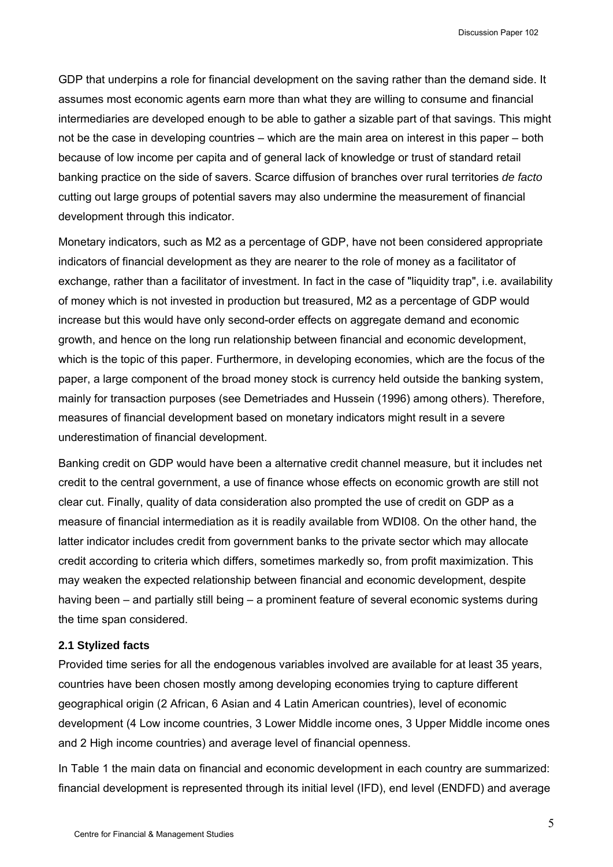Discussion Paper 102

GDP that underpins a role for financial development on the saving rather than the demand side. It assumes most economic agents earn more than what they are willing to consume and financial intermediaries are developed enough to be able to gather a sizable part of that savings. This might not be the case in developing countries – which are the main area on interest in this paper – both because of low income per capita and of general lack of knowledge or trust of standard retail banking practice on the side of savers. Scarce diffusion of branches over rural territories *de facto* cutting out large groups of potential savers may also undermine the measurement of financial development through this indicator.

Monetary indicators, such as M2 as a percentage of GDP, have not been considered appropriate indicators of financial development as they are nearer to the role of money as a facilitator of exchange, rather than a facilitator of investment. In fact in the case of "liquidity trap", i.e. availability of money which is not invested in production but treasured, M2 as a percentage of GDP would increase but this would have only second-order effects on aggregate demand and economic growth, and hence on the long run relationship between financial and economic development, which is the topic of this paper. Furthermore, in developing economies, which are the focus of the paper, a large component of the broad money stock is currency held outside the banking system, mainly for transaction purposes (see Demetriades and Hussein (1996) among others). Therefore, measures of financial development based on monetary indicators might result in a severe underestimation of financial development.

Banking credit on GDP would have been a alternative credit channel measure, but it includes net credit to the central government, a use of finance whose effects on economic growth are still not clear cut. Finally, quality of data consideration also prompted the use of credit on GDP as a measure of financial intermediation as it is readily available from WDI08. On the other hand, the latter indicator includes credit from government banks to the private sector which may allocate credit according to criteria which differs, sometimes markedly so, from profit maximization. This may weaken the expected relationship between financial and economic development, despite having been – and partially still being – a prominent feature of several economic systems during the time span considered.

## **2.1 Stylized facts**

Provided time series for all the endogenous variables involved are available for at least 35 years, countries have been chosen mostly among developing economies trying to capture different geographical origin (2 African, 6 Asian and 4 Latin American countries), level of economic development (4 Low income countries, 3 Lower Middle income ones, 3 Upper Middle income ones and 2 High income countries) and average level of financial openness.

In Table 1 the main data on financial and economic development in each country are summarized: financial development is represented through its initial level (IFD), end level (ENDFD) and average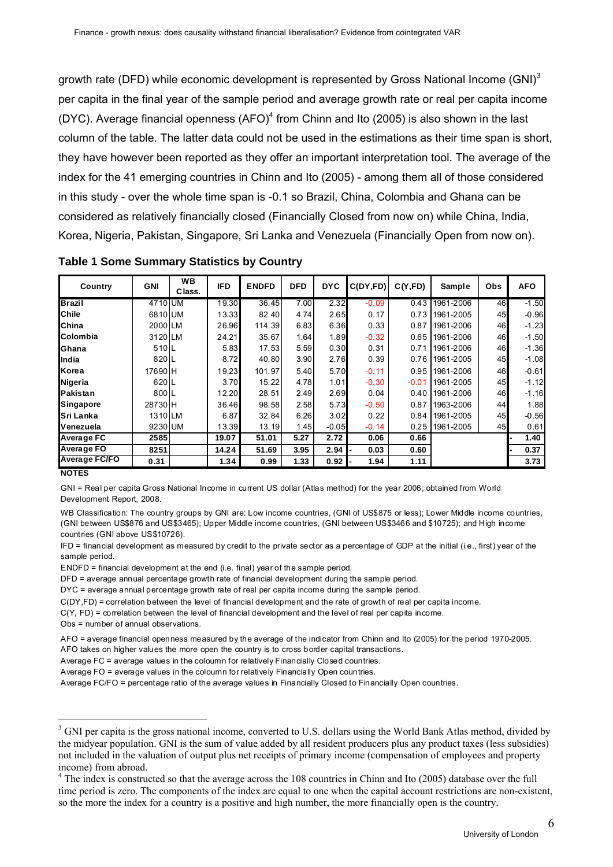growth rate (DFD) while economic development is represented by Gross National Income (GNI)<sup>3</sup> per capita in the final year of the sample period and average growth rate or real per capita income (DYC). Average financial openness  $(AFO)^4$  from Chinn and Ito (2005) is also shown in the last column of the table. The latter data could not be used in the estimations as their time span is short, they have however been reported as they offer an important interpretation tool. The average of the index for the 41 emerging countries in Chinn and Ito (2005) - among them all of those considered in this study - over the whole time span is -0.1 so Brazil, China, Colombia and Ghana can be considered as relatively financially closed (Financially Closed from now on) while China, India, Korea, Nigeria, Pakistan, Singapore, Sri Lanka and Venezuela (Financially Open from now on).

| Country              | <b>GNI</b>       | <b>WB</b><br>Class. | <b>IFD</b> | <b>ENDFD</b> | <b>DFD</b> | <b>DYC</b> | C(DY, FD) | C(Y, FD) | Sample    | Obs | <b>AFO</b> |
|----------------------|------------------|---------------------|------------|--------------|------------|------------|-----------|----------|-----------|-----|------------|
| Brazil               | 4710 UM          |                     | 19.30      | 36.45        | 7.00       | 2.32       | $-0.09$   | 0.43     | 1961-2006 | 46  | $-1.50$    |
| <b>Chile</b>         | 6810 UM          |                     | 13.33      | 82.40        | 4.74       | 2.65       | 0.17      | 0.73     | 1961-2005 | 45  | $-0.96$    |
| <b>China</b>         | 2000 LM          |                     | 26.96      | 114.39       | 6.83       | 6.36       | 0.33      | 0.87     | 1961-2006 | 46  | $-1.23$    |
| <b>Colombia</b>      | 3120 LM          |                     | 24.21      | 35.67        | 1.64       | 1.89       | $-0.32$   | 0.65     | 1961-2006 | 46  | $-1.50$    |
| <b>Ghana</b>         | 510 <sub>L</sub> |                     | 5.83       | 17.53        | 5.59       | 0.30       | 0.31      | 0.71     | 1961-2006 | 46  | $-1.36$    |
| India                | 820 L            |                     | 8.72       | 40.80        | 3.90       | 2.76       | 0.39      | 0.76     | 1961-2005 | 45  | $-1.08$    |
| Korea                | 17690 H          |                     | 19.23      | 101.97       | 5.40       | 5.70       | $-0.11$   | 0.95     | 1961-2006 | 46  | $-0.61$    |
| Nigeria              | 620 <sub>L</sub> |                     | 3.70       | 15.22        | 4.78       | 1.01       | $-0.30$   | $-0.01$  | 1961-2005 | 45  | $-1.12$    |
| Pakistan             | 800L             |                     | 12.20      | 28.51        | 2.49       | 2.69       | 0.04      | 0.40     | 1961-2006 | 46  | $-1.16$    |
| Singapore            | 28730 H          |                     | 36.46      | 98.58        | 2.58       | 5.73       | $-0.50$   | 0.87     | 1963-2006 | 44  | 1.88       |
| Sri Lanka            | 1310 LM          |                     | 6.87       | 32.84        | 6.26       | 3.02       | 0.22      | 0.84     | 1961-2005 | 45  | $-0.56$    |
| Venezuela            | 9230 UM          |                     | 13.39      | 13.19        | 1.45       | $-0.05$    | $-0.14$   | 0.25     | 1961-2005 | 45  | 0.61       |
| <b>Average FC</b>    | 2585             |                     | 19.07      | 51.01        | 5.27       | 2.72       | 0.06      | 0.66     |           |     | 1.40       |
| Average FO           | 8251             |                     | 14.24      | 51.69        | 3.95       | 2.94       | 0.03      | 0.60     |           |     | 0.37       |
| <b>Average FC/FO</b> | 0.31             |                     | 1.34       | 0.99         | 1.33       | 0.92       | 1.94      | 1.11     |           |     | 3.73       |

**Table 1 Some Summary Statistics by Country** 

#### **NOTES** 1233 14 54 4.9 3.7

 $\overline{a}$ 

GNI = Real per capita Gross National Income in current US dollar (Atlas method) for the year 2006; obtained from World Development Report, 2008.

WB Classification: The country groups by GNI are: Low income countries, (GNI of US\$875 or less); Lower Middle income countries, (GNI between US\$876 and US\$3465); Upper Middle income countries, (GNI between US\$3466 and \$10725); and High income countries (GNI above US\$10726).

IFD = financial development as measured by credit to the private sector as a percentage of GDP at the initial (i.e., first) year of the sample period.

ENDFD = financial development at the end (i.e. final) year of the sample period.

DFD = average annual percentage growth rate of financial development during the sample period.

DYC = average annual percentage growth rate of real per capita income during the sample period.

C(DY,FD) = correlation between the level of financial development and the rate of growth of real per capita income.

C(Y, FD) = correlation between the level of financial development and the level of real per capita income.

Obs = number of annual observations.

AFO = average financial openness measured by the average of the indicator from Chinn and Ito (2005) for the period 1970-2005. AFO takes on higher values the more open the country is to cross border capital transactions.

Average FC = average values in the coloumn for relatively Financially Closed countries.

Average FO = average values in the coloumn for relatively Financially Open countries.

Average FC/FO = percentage ratio of the average values in Financially Closed to Financially Open countries.

<sup>&</sup>lt;sup>3</sup> GNI per capita is the gross national income, converted to U.S. dollars using the World Bank Atlas method, divided by the midyear population. GNI is the sum of value added by all resident producers plus any product taxes (less subsidies) not included in the valuation of output plus net receipts of primary income (compensation of employees and property income) from abroad.

 $4$  The index is constructed so that the average across the 108 countries in Chinn and Ito (2005) database over the full time period is zero. The components of the index are equal to one when the capital account restrictions are non-existent, so the more the index for a country is a positive and high number, the more financially open is the country.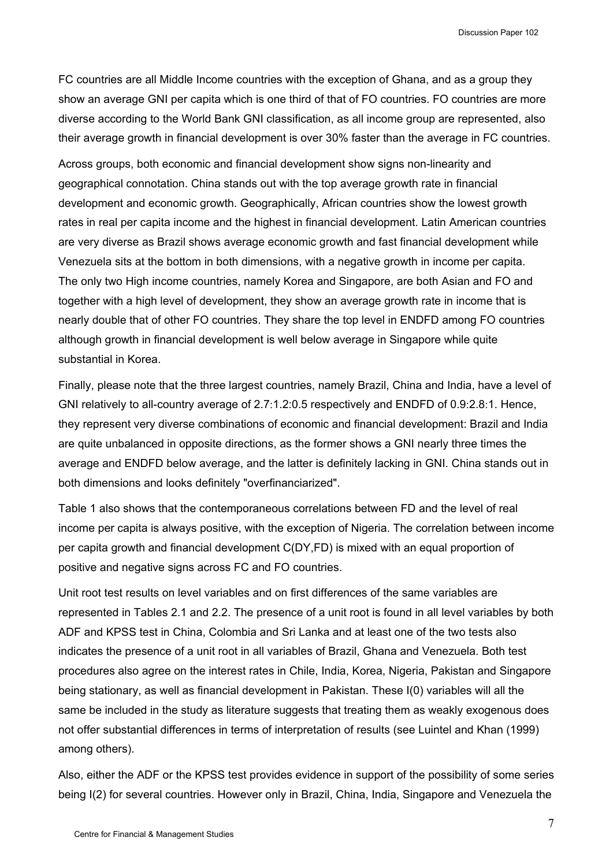FC countries are all Middle Income countries with the exception of Ghana, and as a group they show an average GNI per capita which is one third of that of FO countries. FO countries are more diverse according to the World Bank GNI classification, as all income group are represented, also their average growth in financial development is over 30% faster than the average in FC countries.

Across groups, both economic and financial development show signs non-linearity and geographical connotation. China stands out with the top average growth rate in financial development and economic growth. Geographically, African countries show the lowest growth rates in real per capita income and the highest in financial development. Latin American countries are very diverse as Brazil shows average economic growth and fast financial development while Venezuela sits at the bottom in both dimensions, with a negative growth in income per capita. The only two High income countries, namely Korea and Singapore, are both Asian and FO and together with a high level of development, they show an average growth rate in income that is nearly double that of other FO countries. They share the top level in ENDFD among FO countries although growth in financial development is well below average in Singapore while quite substantial in Korea.

Finally, please note that the three largest countries, namely Brazil, China and India, have a level of GNI relatively to all-country average of 2.7:1.2:0.5 respectively and ENDFD of 0.9:2.8:1. Hence, they represent very diverse combinations of economic and financial development: Brazil and India are quite unbalanced in opposite directions, as the former shows a GNI nearly three times the average and ENDFD below average, and the latter is definitely lacking in GNI. China stands out in both dimensions and looks definitely "overfinanciarized".

Table 1 also shows that the contemporaneous correlations between FD and the level of real income per capita is always positive, with the exception of Nigeria. The correlation between income per capita growth and financial development C(DY,FD) is mixed with an equal proportion of positive and negative signs across FC and FO countries.

Unit root test results on level variables and on first differences of the same variables are represented in Tables 2.1 and 2.2. The presence of a unit root is found in all level variables by both ADF and KPSS test in China, Colombia and Sri Lanka and at least one of the two tests also indicates the presence of a unit root in all variables of Brazil, Ghana and Venezuela. Both test procedures also agree on the interest rates in Chile, India, Korea, Nigeria, Pakistan and Singapore being stationary, as well as financial development in Pakistan. These I(0) variables will all the same be included in the study as literature suggests that treating them as weakly exogenous does not offer substantial differences in terms of interpretation of results (see Luintel and Khan (1999) among others).

Also, either the ADF or the KPSS test provides evidence in support of the possibility of some series being I(2) for several countries. However only in Brazil, China, India, Singapore and Venezuela the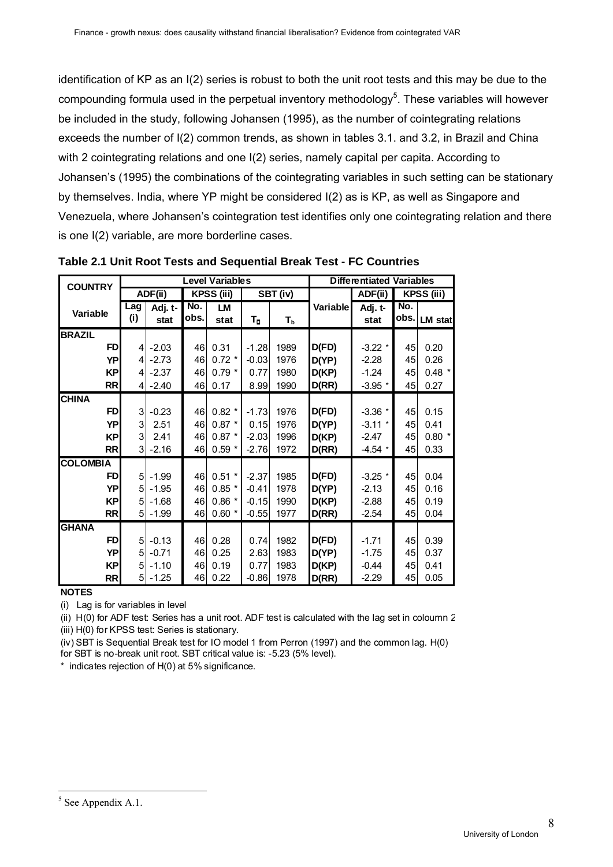identification of KP as an I(2) series is robust to both the unit root tests and this may be due to the compounding formula used in the perpetual inventory methodology<sup>5</sup>. These variables will however be included in the study, following Johansen (1995), as the number of cointegrating relations exceeds the number of I(2) common trends, as shown in tables 3.1. and 3.2, in Brazil and China with 2 cointegrating relations and one I(2) series, namely capital per capita. According to Johansen's (1995) the combinations of the cointegrating variables in such setting can be stationary by themselves. India, where YP might be considered I(2) as is KP, as well as Singapore and Venezuela, where Johansen's cointegration test identifies only one cointegrating relation and there is one I(2) variable, are more borderline cases.

| <b>COUNTRY</b>  |                           |         |      | <b>Level Variables</b> |         |          | <b>Differentiated Variables</b> |           |      |                   |  |
|-----------------|---------------------------|---------|------|------------------------|---------|----------|---------------------------------|-----------|------|-------------------|--|
|                 |                           | ADF(ii) |      | <b>KPSS (iii)</b>      |         | SBT (iv) |                                 | ADF(ii)   |      | <b>KPSS (iii)</b> |  |
| Variable        | Lag                       | Adj. t- | No.  | LM                     |         |          | Variable                        | Adj. t-   | No.  |                   |  |
|                 | (i)                       | stat    | obs. | stat                   | Tg      | $T_{b}$  |                                 | stat      | obs. | <b>LM</b> stat    |  |
| <b>BRAZIL</b>   |                           |         |      |                        |         |          |                                 |           |      |                   |  |
| <b>FD</b>       | $\overline{4}$            | $-2.03$ | 46   | 0.31                   | $-1.28$ | 1989     | D(FD)                           | $-3.22$ * | 45   | 0.20              |  |
| YP              | $\vert$                   | $-2.73$ | 46   | $0.72 *$               | $-0.03$ | 1976     | D(YP)                           | $-2.28$   | 45   | 0.26              |  |
| <b>KP</b>       | $\vert$                   | $-2.37$ | 46   | $0.79 *$               | 0.77    | 1980     | D(KP)                           | $-1.24$   | 45   | $0.48$ *          |  |
| <b>RR</b>       | $\vert 4 \vert$           | $-2.40$ | 46   | 0.17                   | 8.99    | 1990     | D(RR)                           | $-3.95$ * | 45   | 0.27              |  |
| <b>CHINA</b>    |                           |         |      |                        |         |          |                                 |           |      |                   |  |
| FD              | 3                         | $-0.23$ | 46   | $0.82 *$               | $-1.73$ | 1976     | D(FD)                           | $-3.36$ * | 45   | 0.15              |  |
| YP              | 3                         | 2.51    | 46   | $0.87 *$               | 0.15    | 1976     | D(YP)                           | $-3.11$ * | 45   | 0.41              |  |
| <b>KP</b>       | 3                         | 2.41    | 46   | $0.87 *$               | $-2.03$ | 1996     | D(KP)                           | $-2.47$   | 45   | $0.80*$           |  |
| <b>RR</b>       | 3 <sup>1</sup><br>$-2.16$ |         | 46   | $0.59 *$               | $-2.76$ | 1972     | D(RR)                           | $-4.54$ * | 45   | 0.33              |  |
| <b>COLOMBIA</b> |                           |         |      |                        |         |          |                                 |           |      |                   |  |
| FD              | 5 <sup>1</sup>            | $-1.99$ | 46   | $0.51 *$               | $-2.37$ | 1985     | D(FD)                           | $-3.25$ * | 45   | 0.04              |  |
| YP              | 5 <sup>5</sup>            | $-1.95$ | 46   | $0.85 *$               | $-0.41$ | 1978     | D(YP)                           | $-2.13$   | 45   | 0.16              |  |
| <b>KP</b>       | 5 <sub>l</sub>            | $-1.68$ | 46   | $0.86*$                | $-0.15$ | 1990     | D(KP)                           | $-2.88$   | 45   | 0.19              |  |
| <b>RR</b>       | 5 <sup>1</sup>            | $-1.99$ | 46   | $0.60*$                | $-0.55$ | 1977     | D(RR)                           | $-2.54$   | 45   | 0.04              |  |
| <b>GHANA</b>    |                           |         |      |                        |         |          |                                 |           |      |                   |  |
| FD              | 5 <sup>1</sup>            | $-0.13$ | 46   | 0.28                   | 0.74    | 1982     | D(FD)                           | $-1.71$   | 45   | 0.39              |  |
| YP              | 5 <sup>1</sup>            | $-0.71$ | 46   | 0.25                   | 2.63    | 1983     | D(YP)                           | $-1.75$   | 45   | 0.37              |  |
| <b>KP</b>       | 5 <sup>1</sup>            | $-1.10$ | 46   | 0.19                   | 0.77    | 1983     | D(KP)                           | $-0.44$   | 45   | 0.41              |  |
| <b>RR</b>       | 5 <sub>l</sub>            | $-1.25$ | 46   | 0.22                   | $-0.86$ | 1978     | D(RR)                           | $-2.29$   | 45   | 0.05              |  |

**Table 2.1 Unit Root Tests and Sequential Break Test - FC Countries** 

### **NOTES**

(i) Lag is for variables in level

(ii) H(0) for ADF test: Series has a unit root. ADF test is calculated with the lag set in coloumn 2

(iii) H(0) for KPSS test: Series is stationary.

(iv) SBT is Sequential Break test for IO model 1 from Perron (1997) and the common lag. H(0) for SBT is no-break unit root. SBT critical value is: -5.23 (5% level).

\* indicates rejection of H(0) at 5% significance.

<sup>&</sup>lt;sup>5</sup> See Appendix A.1.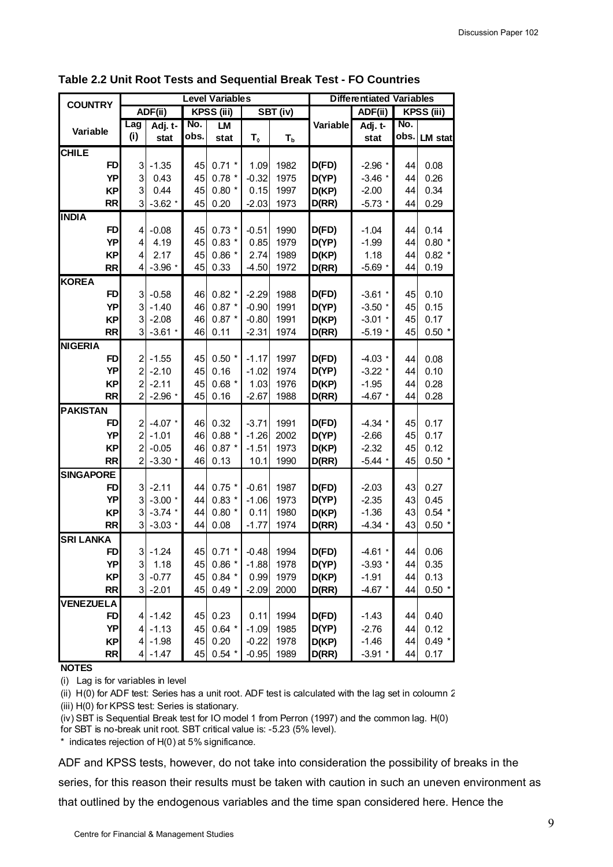| <b>COUNTRY</b>        |                 |                         |                                           | <b>Level Variables</b> |                      |                                    |              |                      | <b>Differentiated Variables</b> |                   |  |
|-----------------------|-----------------|-------------------------|-------------------------------------------|------------------------|----------------------|------------------------------------|--------------|----------------------|---------------------------------|-------------------|--|
|                       |                 | ADF(ii)                 |                                           | <b>KPSS (iii)</b>      |                      | $\overline{\text{SBT}(\text{iv})}$ |              | ADF(ii)              |                                 | <b>KPSS (iii)</b> |  |
| Variable              | Lag             | Adj. t-                 | No.                                       | LM                     |                      |                                    | Variable     | Adj. t-              | No.                             |                   |  |
|                       | (i)             | stat                    | obs.                                      | stat                   | $T_{\text{o}}$       | Т <sub>b</sub>                     |              | stat                 |                                 | obs. LM stat      |  |
| <b>CHILE</b>          |                 |                         |                                           |                        |                      |                                    |              |                      |                                 |                   |  |
| <b>FD</b>             | 3               | $-1.35$                 | 45                                        | $0.71 *$               | 1.09                 | 1982                               | D(FD)        | $-2.96$ *            | 44                              | 0.08              |  |
| YP                    | 3               | 0.43                    | 45                                        | $0.78 *$               | $-0.32$              | 1975                               | D(YP)        | $-3.46*$             | 44                              | 0.26              |  |
| <b>KP</b>             | 3               | 0.44                    | 45                                        | $0.80*$                | 0.15                 | 1997                               | D(KP)        | $-2.00$              | 44                              | 0.34              |  |
| <b>RR</b>             | 3               | $-3.62$ *               | 45                                        | 0.20                   | $-2.03$              | 1973                               | D(RR)        | $-5.73$ *            | 44                              | 0.29              |  |
| <b>INDIA</b>          |                 |                         |                                           |                        |                      |                                    |              |                      |                                 |                   |  |
| <b>FD</b>             | 4               | $-0.08$                 | 45                                        | $0.73*$                | $-0.51$              | 1990                               | D(FD)        | $-1.04$              | 44                              | 0.14              |  |
| YP                    | $\vert 4 \vert$ | 4.19                    | 45                                        | $0.83*$                | 0.85                 | 1979                               | D(YP)        | $-1.99$              | 44                              | $0.80*$           |  |
| <b>KP</b>             | $\vert 4 \vert$ | 2.17                    | 45                                        | $0.86*$                | 2.74                 | 1989                               | D(KP)        | 1.18                 | 44                              | $0.82$ *          |  |
| <b>RR</b>             | $\overline{4}$  | $-3.96*$                | 45                                        | 0.33                   | $-4.50$              | 1972                               | D(RR)        | $-5.69$ *            | 44                              | 0.19              |  |
| <b>KOREA</b>          |                 | 46<br>$-0.58$           |                                           |                        |                      |                                    |              |                      |                                 |                   |  |
| FD                    | $\mathbf{3}$    |                         |                                           | $0.82 *$               | $-2.29$              | 1988                               | D(FD)        | $-3.61$ *            | 45                              | 0.10              |  |
| YP                    |                 | $3 - 1.40$              | 46                                        | $0.87 *$               | $-0.90$              | 1991                               | D(YP)        | $-3.50$ *            | 45                              | 0.15              |  |
| <b>KP</b>             | $\overline{3}$  | $-2.08$                 | 46                                        | $0.87 *$               | $-0.80$              | 1991                               | D(KP)        | $-3.01$ *            | 45                              | 0.17              |  |
| <b>RR</b>             | 3               | $-3.61$ *               | $-2.31$<br>46<br>0.11<br>1974<br>D(RR)    |                        | $-5.19$ *            | 45                                 | $0.50*$      |                      |                                 |                   |  |
| <b>NIGERIA</b>        |                 |                         |                                           |                        |                      |                                    |              |                      |                                 |                   |  |
| <b>FD</b><br>YP       | 2 <sub>1</sub>  | $-1.55$                 | 45                                        | $0.50*$                | $-1.17$              | 1997                               | D(FD)        | $-4.03$ *            | 44                              | 0.08              |  |
|                       | 2 <sup>1</sup>  | $2$   -2.10             | 45                                        | 0.16                   | $-1.02$              | 1974                               | D(YP)        | $-3.22$ *<br>$-1.95$ | 44                              | 0.10              |  |
| <b>KP</b>             | $\overline{2}$  | $-2.11$                 | 45<br>45                                  | $0.68 *$               | 1.03                 | 1976                               | D(KP)        |                      | 44                              | 0.28<br>0.28      |  |
| <b>RR</b>             |                 | $-2.96$ *               |                                           | 0.16                   | $-2.67$              | 1988                               | D(RR)        | $-4.67$ *            | 44                              |                   |  |
| <b>PAKISTAN</b><br>FD |                 |                         | D(FD)<br>0.32<br>$-3.71$<br>1991<br>46    |                        |                      |                                    |              |                      |                                 |                   |  |
| YP                    | 2 <sup>1</sup>  | $-4.07$ *<br>$2 - 1.01$ | 46<br>$-1.26$<br>D(YP)<br>$0.88*$<br>2002 |                        | $-4.34$ *<br>$-2.66$ | 45<br>45                           | 0.17<br>0.17 |                      |                                 |                   |  |
| <b>KP</b>             |                 | $2$ -0.05               | 46                                        | $0.87 *$               | $-1.51$              | 1973                               | D(KP)        | $-2.32$              | 45                              | 0.12              |  |
| <b>RR</b>             | 2 <sup>1</sup>  | $-3.30$ *               | 46                                        | 0.13                   | 10.1                 | 1990                               | D(RR)        | $-5.44$ *            | 45                              | $0.50*$           |  |
| <b>SINGAPORE</b>      |                 |                         |                                           |                        |                      |                                    |              |                      |                                 |                   |  |
| <b>FD</b>             |                 | $3 - 2.11$              | 44                                        | $0.75 *$               | $-0.61$              | 1987                               | D(FD)        | $-2.03$              | 43                              | 0.27              |  |
| YP                    | 3 <sup>1</sup>  | $-3.00*$                | 44                                        | $0.83*$                | $-1.06$              | 1973                               | D(YP)        | $-2.35$              | 43                              | 0.45              |  |
| <b>KP</b>             | 3I              | $-3.74$ *               | 44                                        | $0.80*$                | 0.11                 | 1980                               | D(KP)        | $-1.36$              | 43                              | $0.54$ *          |  |
| <b>RR</b>             | 3 <sup>1</sup>  | $-3.03*$                | 44                                        | 0.08                   | $-1.77$              | 1974                               | D(RR)        | $-4.34$ *            | 43                              | $0.50*$           |  |
| <b>SRI LANKA</b>      |                 |                         |                                           |                        |                      |                                    |              |                      |                                 |                   |  |
| FD                    | $\overline{3}$  | $-1.24$                 |                                           | 45 0.71 *              | $-0.48$              | 1994                               | D(FD)        | $-4.61$ *            | 44                              | 0.06              |  |
| <b>YP</b>             | $\overline{3}$  | 1.18                    | 45                                        | $0.86*$                | $-1.88$              | 1978                               | D(YP)        | $-3.93$ *            | 44                              | 0.35              |  |
| <b>KP</b>             |                 | $3 - 0.77$              | 45                                        | $0.84 *$               | 0.99                 | 1979                               | D(KP)        | $-1.91$              | 44                              | 0.13              |  |
| <b>RR</b>             |                 | $3 - 2.01$              | 45                                        | $0.49*$                | $-2.09$              | 2000                               | D(RR)        | $-4.67$ *            | 44                              | $0.50*$           |  |
| <b>VENEZUELA</b>      |                 |                         |                                           |                        |                      |                                    |              |                      |                                 |                   |  |
| FD                    | 41              | $-1.42$                 | 45                                        | 0.23                   | 0.11                 | 1994                               | D(FD)        | $-1.43$              | 44                              | 0.40              |  |
| YP                    | 41              | $-1.13$                 | 45                                        | $0.64$ *               | $-1.09$              | 1985                               | D(YP)        | $-2.76$              | 44                              | 0.12              |  |
| <b>KP</b>             | 41              | $-1.98$                 | 45                                        | 0.20                   | $-0.22$              | 1978                               | D(KP)        | $-1.46$              | 44                              | $0.49*$           |  |
| <b>RR</b>             | 41              | $-1.47$                 | 45                                        | $0.54$ *               | $-0.95$              | 1989                               | D(RR)        | $-3.91$ *            | 44                              | 0.17              |  |

## **Table 2.2 Unit Root Tests and Sequential Break Test - FO Countries**

**NOTES**

(i) Lag is for variables in level

(ii) H(0) for ADF test: Series has a unit root. ADF test is calculated with the lag set in coloumn 2 (iii) H(0) for KPSS test: Series is stationary.

(iv) SBT is Sequential Break test for IO model 1 from Perron (1997) and the common lag. H(0)

for SBT is no-break unit root. SBT critical value is: -5.23 (5% level).

\* indicates rejection of H(0) at 5% significance.

ADF and KPSS tests, however, do not take into consideration the possibility of breaks in the series, for this reason their results must be taken with caution in such an uneven environment as that outlined by the endogenous variables and the time span considered here. Hence the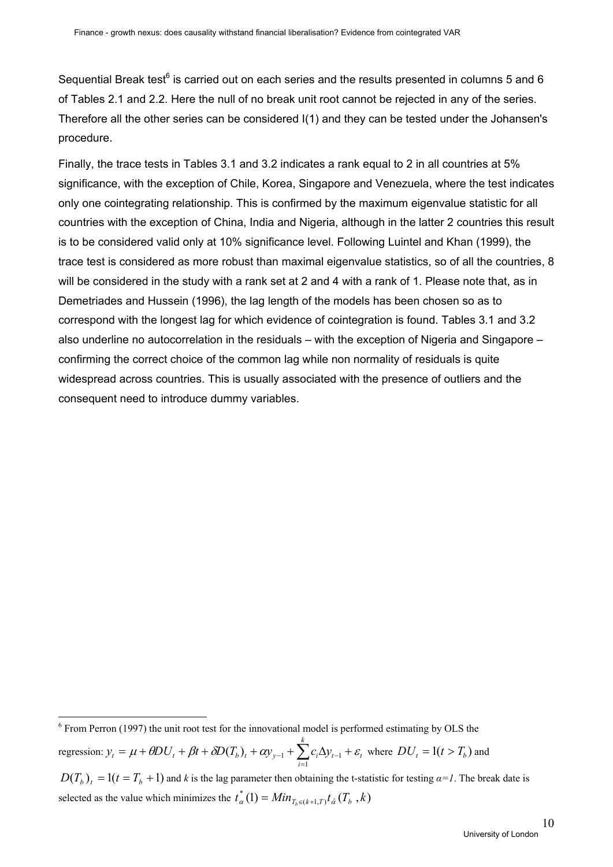Sequential Break test<sup>6</sup> is carried out on each series and the results presented in columns 5 and 6 of Tables 2.1 and 2.2. Here the null of no break unit root cannot be rejected in any of the series. Therefore all the other series can be considered I(1) and they can be tested under the Johansen's procedure.

Finally, the trace tests in Tables 3.1 and 3.2 indicates a rank equal to 2 in all countries at 5% significance, with the exception of Chile, Korea, Singapore and Venezuela, where the test indicates only one cointegrating relationship. This is confirmed by the maximum eigenvalue statistic for all countries with the exception of China, India and Nigeria, although in the latter 2 countries this result is to be considered valid only at 10% significance level. Following Luintel and Khan (1999), the trace test is considered as more robust than maximal eigenvalue statistics, so of all the countries, 8 will be considered in the study with a rank set at 2 and 4 with a rank of 1. Please note that, as in Demetriades and Hussein (1996), the lag length of the models has been chosen so as to correspond with the longest lag for which evidence of cointegration is found. Tables 3.1 and 3.2 also underline no autocorrelation in the residuals – with the exception of Nigeria and Singapore – confirming the correct choice of the common lag while non normality of residuals is quite widespread across countries. This is usually associated with the presence of outliers and the consequent need to introduce dummy variables.

 $6$  From Perron (1997) the unit root test for the innovational model is performed estimating by OLS the regression:  $y_t = \mu + \theta D U_t + \beta t + \delta D(T_b)_t + \alpha y_{y-1} + \sum c_i \Delta y_{t-1} + \varepsilon_t$ *k i*  $y_t = \mu + \theta D U_t + \beta t + \delta D(T_b)_t + \alpha y_{y-1} + \sum c_i \Delta y_{t-1} + \varepsilon$  $_{-1} + \sum_{i=1} c_i \Delta y_{t-1}$  $(T_b)_t + \alpha y_{y-1} + \sum_{i} c_i \Delta y_{t-1} + \varepsilon_t$  where  $DU_t = 1(t > T_b)$  and  $D(T_b)$   $_t = 1(t = T_b + 1)$  and k is the lag parameter then obtaining the t-statistic for testing  $a = 1$ . The break date is selected as the value which minimizes the  $t_{\alpha}^{*}(1) = Min_{T_b \in (k+1,T)} t_{\hat{\alpha}}(T_b, k)$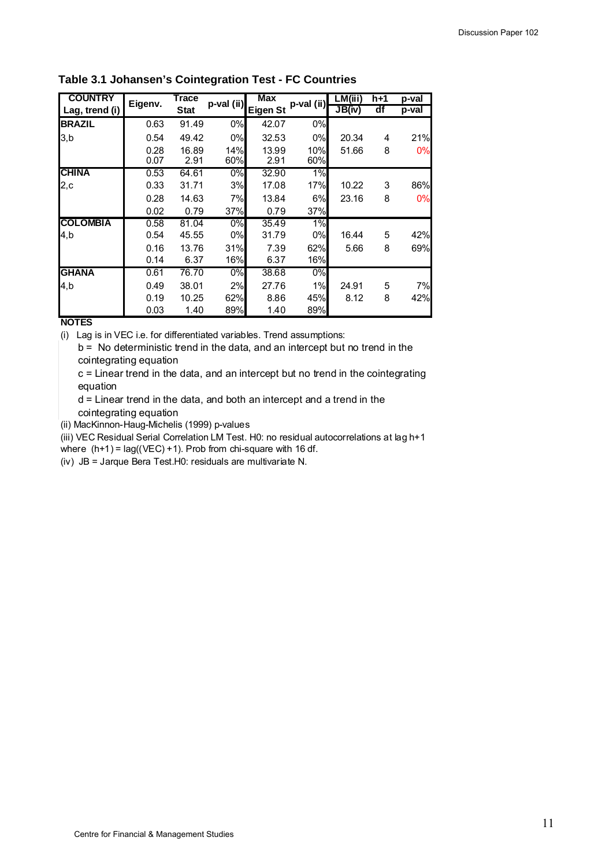| <b>COUNTRY</b>  | Eigenv. | <b>Trace</b> | p-val (ii)       | <b>Max</b>      | p-val (ii) | LM(iii) | h+1 | $p\n-val$ |
|-----------------|---------|--------------|------------------|-----------------|------------|---------|-----|-----------|
| Lag, trend (i)  |         | <b>Stat</b>  |                  | <b>Eigen St</b> |            | JB(iv)  | df  | p-val     |
| <b>BRAZIL</b>   | 0.63    | 91.49        | 0%               | 42.07           | 0%         |         |     |           |
| 3,b             | 0.54    | 49.42        | 0%               | 32.53           | 0%         | 20.34   | 4   | 21%       |
|                 | 0.28    | 16.89        | 14%              | 13.99           | 10%        | 51.66   | 8   | 0%        |
|                 | 0.07    | 2.91         | 60%              | 2.91            | 60%        |         |     |           |
| <b>CHINA</b>    | 0.53    | 64.61        | $\overline{0\%}$ | 32.90           | 1%         |         |     |           |
| 2, c            | 0.33    | 31.71        | 3%               | 17.08           | 17%        | 10.22   | 3   | 86%       |
|                 | 0.28    | 14.63        | 7%               | 13.84           | 6%         | 23.16   | 8   | 0%        |
|                 | 0.02    | 0.79         | 37%              | 0.79            | 37%        |         |     |           |
| <b>COLOMBIA</b> | 0.58    | 81.04        | $\overline{0\%}$ | 35.49           | 1%         |         |     |           |
| 4, b            | 0.54    | 45.55        | 0%               | 31.79           | 0%         | 16.44   | 5   | 42%       |
|                 | 0.16    | 13.76        | 31%              | 7.39            | 62%        | 5.66    | 8   | 69%       |
|                 | 0.14    | 6.37         | 16%              | 6.37            | 16%        |         |     |           |
| <b>GHANA</b>    | 0.61    | 76.70        | $0\%$            | 38.68           | $0\%$      |         |     |           |
| 4, b            | 0.49    | 38.01        | 2%               | 27.76           | 1%         | 24.91   | 5   | 7%        |
|                 | 0.19    | 10.25        | 62%              | 8.86            | 45%        | 8.12    | 8   | 42%       |
|                 | 0.03    | 1.40         | 89%              | 1.40            | 89%        |         |     |           |

**Table 3.1 Johansen's Cointegration Test - FC Countries** 

**NOTES**

(i) Lag is in VEC i.e. for differentiated variables. Trend assumptions:

 $b = No$  deterministic trend in the data, and an intercept but no trend in the cointegrating equation

c = Linear trend in the data, and an intercept but no trend in the cointegrating equation

d = Linear trend in the data, and both an intercept and a trend in the cointegrating equation

(ii) MacKinnon-Haug-Michelis (1999) p-values

(iii) VEC Residual Serial Correlation LM Test. H0: no residual autocorrelations at lag h+1 where  $(h+1) = \text{lag}((VEC) + 1)$ . Prob from chi-square with 16 df.

(iv) JB = Jarque Bera Test.H0: residuals are multivariate N.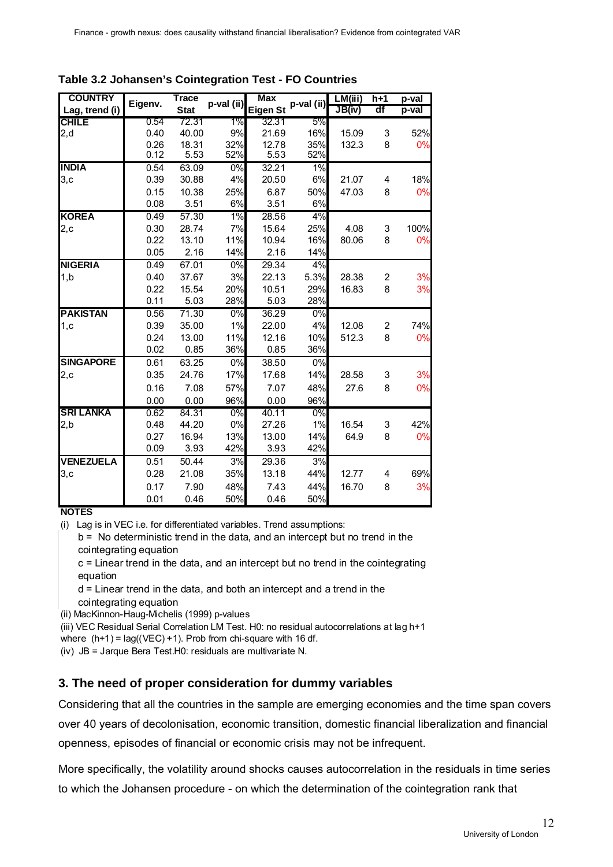| <b>COUNTRY</b>   | Eigenv. | <b>Trace</b> | p-val (ii)               | Max                 |                  | LM(iii)                     | h+1                     | p-val    |
|------------------|---------|--------------|--------------------------|---------------------|------------------|-----------------------------|-------------------------|----------|
| Lag, trend (i)   |         | <b>Stat</b>  |                          | Eigen St p-val (ii) |                  | $\overline{\text{JB}}$ (iv) | df                      | $p$ -val |
| <b>CHILE</b>     | 0.54    | 72.31        | 1%                       | 32.31               | 5%               |                             |                         |          |
| 2,d              | 0.40    | 40.00        | 9%                       | 21.69               | 16%              | 15.09                       | 3                       | 52%      |
|                  | 0.26    | 18.31        | 32%                      | 12.78               | 35%              | 132.3                       | 8                       | 0%       |
|                  | 0.12    | 5.53         | 52%                      | 5.53                | 52%              |                             |                         |          |
| <b>INDIA</b>     | 0.54    | 63.09        | 0%                       | 32.21               | 1%               |                             |                         |          |
| 3,c              | 0.39    | 30.88        | 4%                       | 20.50               | 6%               | 21.07                       | $\overline{\mathbf{4}}$ | 18%      |
|                  | 0.15    | 10.38        | 25%                      | 6.87                | 50%              | 47.03                       | 8                       | 0%       |
|                  | 0.08    | 3.51         | 6%                       | 3.51                | 6%               |                             |                         |          |
| <b>KOREA</b>     | 0.49    | 57.30        | 1%                       | 28.56               | 4%               |                             |                         |          |
| 2,c              | 0.30    | 28.74        | 7%                       | 15.64               | 25%              | 4.08                        | 3                       | 100%     |
|                  | 0.22    | 13.10        | 11%                      | 10.94               | 16%              | 80.06                       | 8                       | 0%       |
|                  | 0.05    | 2.16         | 14%                      | 2.16                | 14%              |                             |                         |          |
| <b>NIGERIA</b>   | 0.49    | 67.01        | $\overline{\frac{9}{6}}$ | 29.34               | 4%               |                             |                         |          |
| 1,b              | 0.40    | 37.67        | 3%                       | 22.13               | 5.3%             | 28.38                       | $\overline{2}$          | 3%       |
|                  | 0.22    | 15.54        | 20%                      | 10.51               | 29%              | 16.83                       | 8                       | 3%       |
|                  | 0.11    | 5.03         | 28%                      | 5.03                | 28%              |                             |                         |          |
| <b>PAKISTAN</b>  | 0.56    | 71.30        | $0\%$                    | 36.29               | $\overline{0\%}$ |                             |                         |          |
| 1, c             | 0.39    | 35.00        | 1%                       | 22.00               | 4%               | 12.08                       | $\overline{2}$          | 74%      |
|                  | 0.24    | 13.00        | 11%                      | 12.16               | 10%              | 512.3                       | 8                       | 0%       |
|                  | 0.02    | 0.85         | 36%                      | 0.85                | 36%              |                             |                         |          |
| <b>SINGAPORE</b> | 0.61    | 63.25        | $\overline{\frac{9}{6}}$ | 38.50               | 0%               |                             |                         |          |
| 2,c              | 0.35    | 24.76        | 17%                      | 17.68               | 14%              | 28.58                       | 3                       | 3%       |
|                  | 0.16    | 7.08         | 57%                      | 7.07                | 48%              | 27.6                        | 8                       | 0%       |
|                  | 0.00    | 0.00         | 96%                      | 0.00                | 96%              |                             |                         |          |
| <b>SRI LANKA</b> | 0.62    | 84.31        | $\overline{0\%}$         | 40.11               | $\overline{0\%}$ |                             |                         |          |
| 2,b              | 0.48    | 44.20        | 0%                       | 27.26               | 1%               | 16.54                       | 3                       | 42%      |
|                  | 0.27    | 16.94        | 13%                      | 13.00               | 14%              | 64.9                        | 8                       | 0%       |
|                  | 0.09    | 3.93         | 42%                      | 3.93                | 42%              |                             |                         |          |
| <b>VENEZUELA</b> | 0.51    | 50.44        | $3\%$                    | 29.36               | 3%               |                             |                         |          |
| 3,c              | 0.28    | 21.08        | 35%                      | 13.18               | 44%              | 12.77                       | $\overline{4}$          | 69%      |
|                  | 0.17    | 7.90         | 48%                      | 7.43                | 44%              | 16.70                       | 8                       | 3%       |
|                  | 0.01    | 0.46         | 50%                      | 0.46                | 50%              |                             |                         |          |

|  |  |  | Table 3.2 Johansen's Cointegration Test - FO Countries |
|--|--|--|--------------------------------------------------------|
|  |  |  |                                                        |

### **NOTES**

(i) Lag is in VEC i.e. for differentiated variables. Trend assumptions:

 $b = No$  deterministic trend in the data, and an intercept but no trend in the cointegrating equation

c = Linear trend in the data, and an intercept but no trend in the cointegrating equation

d = Linear trend in the data, and both an intercept and a trend in the cointegrating equation

(ii) MacKinnon-Haug-Michelis (1999) p-values

(iii) VEC Residual Serial Correlation LM Test. H0: no residual autocorrelations at lag h+1 where  $(h+1) = \text{la}(VEC) + 1$ . Prob from chi-square with 16 df.

(iv) JB = Jarque Bera Test.H0: residuals are multivariate N.

## **3. The need of proper consideration for dummy variables**

Considering that all the countries in the sample are emerging economies and the time span covers over 40 years of decolonisation, economic transition, domestic financial liberalization and financial openness, episodes of financial or economic crisis may not be infrequent.

More specifically, the volatility around shocks causes autocorrelation in the residuals in time series to which the Johansen procedure - on which the determination of the cointegration rank that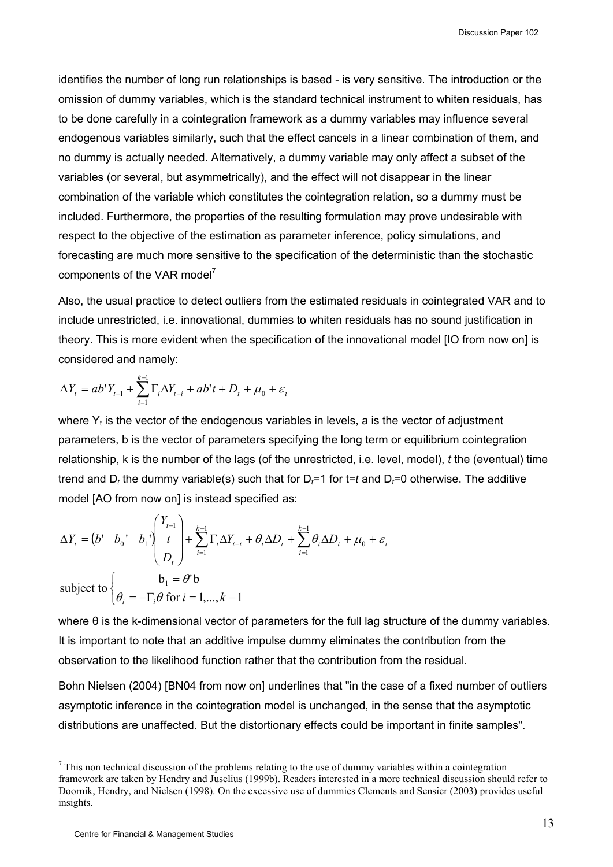identifies the number of long run relationships is based - is very sensitive. The introduction or the omission of dummy variables, which is the standard technical instrument to whiten residuals, has to be done carefully in a cointegration framework as a dummy variables may influence several endogenous variables similarly, such that the effect cancels in a linear combination of them, and no dummy is actually needed. Alternatively, a dummy variable may only affect a subset of the variables (or several, but asymmetrically), and the effect will not disappear in the linear combination of the variable which constitutes the cointegration relation, so a dummy must be included. Furthermore, the properties of the resulting formulation may prove undesirable with respect to the objective of the estimation as parameter inference, policy simulations, and forecasting are much more sensitive to the specification of the deterministic than the stochastic components of the VAR model<sup>7</sup>

Also, the usual practice to detect outliers from the estimated residuals in cointegrated VAR and to include unrestricted, i.e. innovational, dummies to whiten residuals has no sound justification in theory. This is more evident when the specification of the innovational model [IO from now on] is considered and namely:

$$
\Delta Y_{t} = ab^{t} Y_{t-1} + \sum_{i=1}^{k-1} \Gamma_{i} \Delta Y_{t-i} + ab^{t} t + D_{t} + \mu_{0} + \varepsilon_{t}
$$

where  $Y_t$  is the vector of the endogenous variables in levels, a is the vector of adjustment parameters, b is the vector of parameters specifying the long term or equilibrium cointegration relationship, k is the number of the lags (of the unrestricted, i.e. level, model), *t* the (eventual) time trend and  $D_t$  the dummy variable(s) such that for  $D_t=1$  for  $t=t$  and  $D_t=0$  otherwise. The additive model [AO from now on] is instead specified as:

$$
\Delta Y_t = (b' \quad b_0' \quad b_1'') \begin{pmatrix} Y_{t-1} \\ t \\ D_t \end{pmatrix} + \sum_{i=1}^{k-1} \Gamma_i \Delta Y_{t-i} + \theta_i \Delta D_t + \sum_{i=1}^{k-1} \theta_i \Delta D_t + \mu_0 + \varepsilon_t
$$
  
subject to 
$$
\begin{cases} b_1 = \theta' b \\ \theta_i = -\Gamma_i \theta \text{ for } i = 1, ..., k-1 \end{cases}
$$

where θ is the k-dimensional vector of parameters for the full lag structure of the dummy variables. It is important to note that an additive impulse dummy eliminates the contribution from the observation to the likelihood function rather that the contribution from the residual.

Bohn Nielsen (2004) [BN04 from now on] underlines that "in the case of a fixed number of outliers asymptotic inference in the cointegration model is unchanged, in the sense that the asymptotic distributions are unaffected. But the distortionary effects could be important in finite samples".

 $<sup>7</sup>$  This non technical discussion of the problems relating to the use of dummy variables within a cointegration</sup> framework are taken by Hendry and Juselius (1999b). Readers interested in a more technical discussion should refer to Doornik, Hendry, and Nielsen (1998). On the excessive use of dummies Clements and Sensier (2003) provides useful insights.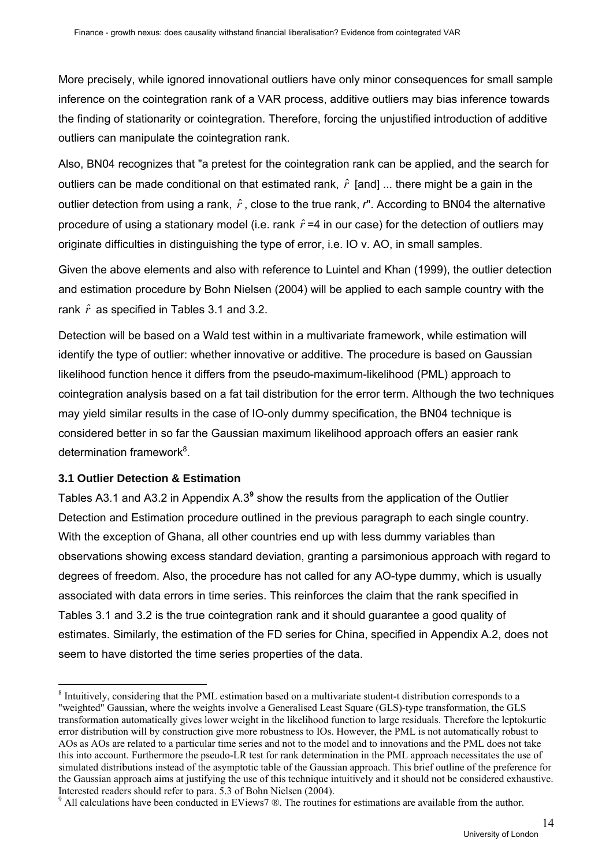More precisely, while ignored innovational outliers have only minor consequences for small sample inference on the cointegration rank of a VAR process, additive outliers may bias inference towards the finding of stationarity or cointegration. Therefore, forcing the unjustified introduction of additive outliers can manipulate the cointegration rank.

Also, BN04 recognizes that "a pretest for the cointegration rank can be applied, and the search for outliers can be made conditional on that estimated rank,  $\hat{r}$  [and] ... there might be a gain in the outlier detection from using a rank,  $\hat{r}$ , close to the true rank,  $r$ ". According to BN04 the alternative procedure of using a stationary model (i.e. rank  $\hat{r}$  =4 in our case) for the detection of outliers may originate difficulties in distinguishing the type of error, i.e. IO v. AO, in small samples.

Given the above elements and also with reference to Luintel and Khan (1999), the outlier detection and estimation procedure by Bohn Nielsen (2004) will be applied to each sample country with the rank  $\hat{r}$  as specified in Tables 3.1 and 3.2.

Detection will be based on a Wald test within in a multivariate framework, while estimation will identify the type of outlier: whether innovative or additive. The procedure is based on Gaussian likelihood function hence it differs from the pseudo-maximum-likelihood (PML) approach to cointegration analysis based on a fat tail distribution for the error term. Although the two techniques may yield similar results in the case of IO-only dummy specification, the BN04 technique is considered better in so far the Gaussian maximum likelihood approach offers an easier rank determination framework<sup>8</sup>.

## **3.1 Outlier Detection & Estimation**

 $\overline{a}$ 

Tables A3.1 and A3.2 in Appendix A.3<sup>9</sup> show the results from the application of the Outlier Detection and Estimation procedure outlined in the previous paragraph to each single country. With the exception of Ghana, all other countries end up with less dummy variables than observations showing excess standard deviation, granting a parsimonious approach with regard to degrees of freedom. Also, the procedure has not called for any AO-type dummy, which is usually associated with data errors in time series. This reinforces the claim that the rank specified in Tables 3.1 and 3.2 is the true cointegration rank and it should guarantee a good quality of estimates. Similarly, the estimation of the FD series for China, specified in Appendix A.2, does not seem to have distorted the time series properties of the data.

<sup>&</sup>lt;sup>8</sup> Intuitively, considering that the PML estimation based on a multivariate student-t distribution corresponds to a "weighted" Gaussian, where the weights involve a Generalised Least Square (GLS)-type transformation, the GLS transformation automatically gives lower weight in the likelihood function to large residuals. Therefore the leptokurtic error distribution will by construction give more robustness to IOs. However, the PML is not automatically robust to AOs as AOs are related to a particular time series and not to the model and to innovations and the PML does not take this into account. Furthermore the pseudo-LR test for rank determination in the PML approach necessitates the use of simulated distributions instead of the asymptotic table of the Gaussian approach. This brief outline of the preference for the Gaussian approach aims at justifying the use of this technique intuitively and it should not be considered exhaustive. Interested readers should refer to para. 5.3 of Bohn Nielsen (2004).

<sup>&</sup>lt;sup>9</sup> All calculations have been conducted in EViews7 ®. The routines for estimations are available from the author.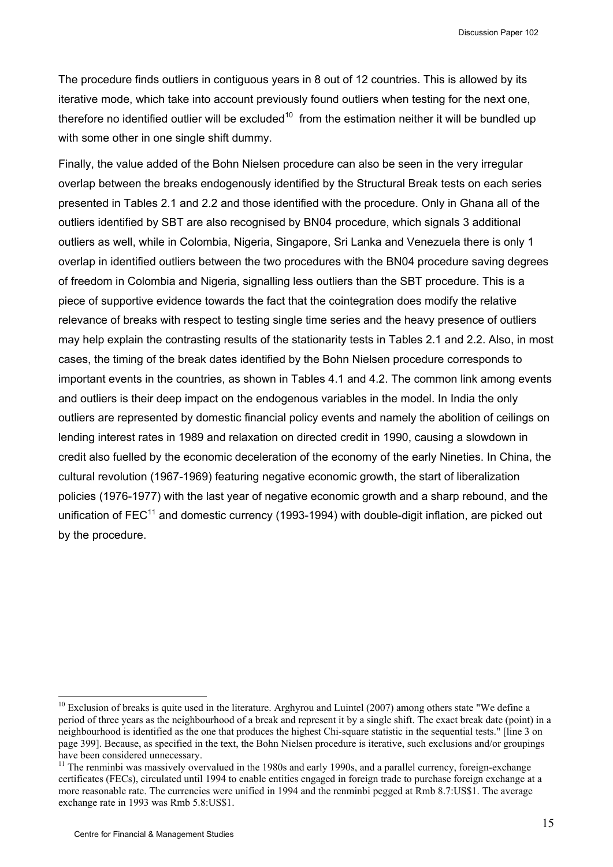Discussion Paper 102

The procedure finds outliers in contiguous years in 8 out of 12 countries. This is allowed by its iterative mode, which take into account previously found outliers when testing for the next one, therefore no identified outlier will be excluded<sup>10</sup> from the estimation neither it will be bundled up with some other in one single shift dummy.

Finally, the value added of the Bohn Nielsen procedure can also be seen in the very irregular overlap between the breaks endogenously identified by the Structural Break tests on each series presented in Tables 2.1 and 2.2 and those identified with the procedure. Only in Ghana all of the outliers identified by SBT are also recognised by BN04 procedure, which signals 3 additional outliers as well, while in Colombia, Nigeria, Singapore, Sri Lanka and Venezuela there is only 1 overlap in identified outliers between the two procedures with the BN04 procedure saving degrees of freedom in Colombia and Nigeria, signalling less outliers than the SBT procedure. This is a piece of supportive evidence towards the fact that the cointegration does modify the relative relevance of breaks with respect to testing single time series and the heavy presence of outliers may help explain the contrasting results of the stationarity tests in Tables 2.1 and 2.2. Also, in most cases, the timing of the break dates identified by the Bohn Nielsen procedure corresponds to important events in the countries, as shown in Tables 4.1 and 4.2. The common link among events and outliers is their deep impact on the endogenous variables in the model. In India the only outliers are represented by domestic financial policy events and namely the abolition of ceilings on lending interest rates in 1989 and relaxation on directed credit in 1990, causing a slowdown in credit also fuelled by the economic deceleration of the economy of the early Nineties. In China, the cultural revolution (1967-1969) featuring negative economic growth, the start of liberalization policies (1976-1977) with the last year of negative economic growth and a sharp rebound, and the unification of  $FEC^{11}$  and domestic currency (1993-1994) with double-digit inflation, are picked out by the procedure.

 $10$  Exclusion of breaks is quite used in the literature. Arghyrou and Luintel (2007) among others state "We define a period of three years as the neighbourhood of a break and represent it by a single shift. The exact break date (point) in a neighbourhood is identified as the one that produces the highest Chi-square statistic in the sequential tests." [line 3 on page 399]. Because, as specified in the text, the Bohn Nielsen procedure is iterative, such exclusions and/or groupings have been considered unnecessary.

<sup>&</sup>lt;sup>11</sup> The renminbi was massively overvalued in the 1980s and early 1990s, and a parallel currency, foreign-exchange certificates (FECs), circulated until 1994 to enable entities engaged in foreign trade to purchase foreign exchange at a more reasonable rate. The currencies were unified in 1994 and the renminbi pegged at Rmb 8.7:US\$1. The average exchange rate in 1993 was Rmb 5.8:US\$1.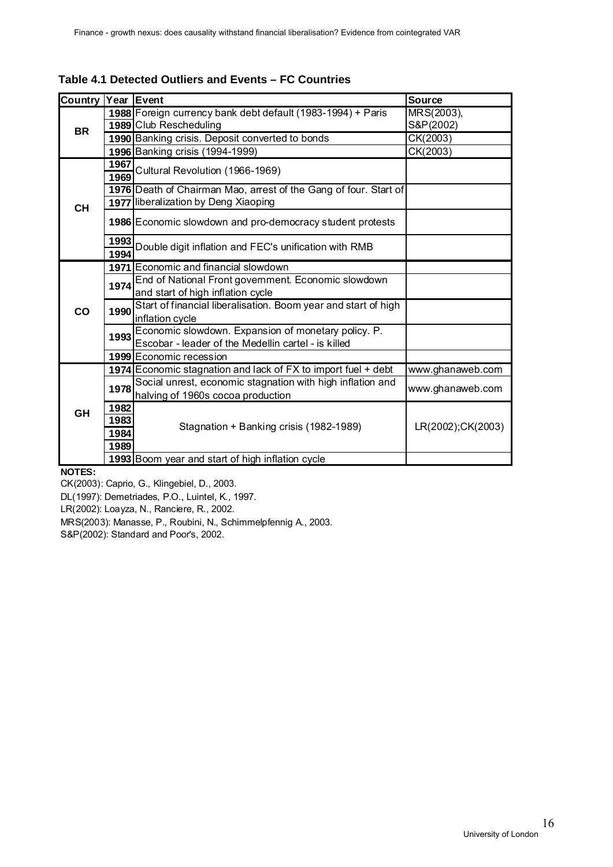| <b>Country</b> |      | Year Event                                                       | <b>Source</b>     |
|----------------|------|------------------------------------------------------------------|-------------------|
|                |      | 1988 Foreign currency bank debt default (1983-1994) + Paris      | MRS(2003),        |
| <b>BR</b>      |      | 1989 Club Rescheduling                                           | S&P(2002)         |
|                |      | 1990 Banking crisis. Deposit converted to bonds                  | CK(2003)          |
|                |      | 1996 Banking crisis (1994-1999)                                  | CK(2003)          |
|                | 1967 | Cultural Revolution (1966-1969)                                  |                   |
|                | 1969 |                                                                  |                   |
|                |      | 1976 Death of Chairman Mao, arrest of the Gang of four. Start of |                   |
| <b>CH</b>      |      | 1977 liberalization by Deng Xiaoping                             |                   |
|                |      | 1986 Economic slowdown and pro-democracy student protests        |                   |
|                | 1993 | Double digit inflation and FEC's unification with RMB            |                   |
|                | 1994 |                                                                  |                   |
|                |      | 1971 Economic and financial slowdown                             |                   |
|                | 1974 | End of National Front government. Economic slowdown              |                   |
|                |      | and start of high inflation cycle                                |                   |
| CO             | 1990 | Start of financial liberalisation. Boom year and start of high   |                   |
|                |      | inflation cycle                                                  |                   |
|                | 1993 | Economic slowdown. Expansion of monetary policy. P.              |                   |
|                |      | Escobar - leader of the Medellin cartel - is killed              |                   |
|                |      | 1999 Economic recession                                          |                   |
|                |      | 1974 Economic stagnation and lack of FX to import fuel + debt    | www.ghanaweb.com  |
|                | 1978 | Social unrest, economic stagnation with high inflation and       | www.ghanaweb.com  |
|                |      | halving of 1960s cocoa production                                |                   |
| <b>GH</b>      | 1982 |                                                                  |                   |
|                | 1983 | Stagnation + Banking crisis (1982-1989)                          | LR(2002);CK(2003) |
|                | 1984 |                                                                  |                   |
|                | 1989 |                                                                  |                   |
|                |      | 1993 Boom year and start of high inflation cycle                 |                   |

## **Table 4.1 Detected Outliers and Events – FC Countries**

**NOTES:**

CK(2003): Caprio, G., Klingebiel, D., 2003.

DL(1997): Demetriades, P.O., Luintel, K., 1997.

LR(2002): Loayza, N., Ranciere, R., 2002.

MRS(2003): Manasse, P., Roubini, N., Schimmelpfennig A., 2003.

S&P(2002): Standard and Poor's, 2002.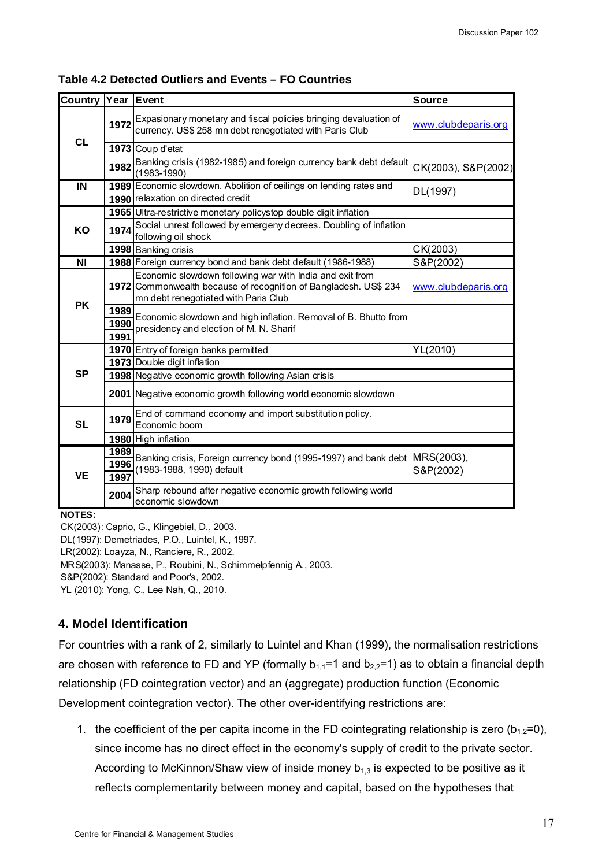| Country        |              | Year Event                                                                                                                                                           | <b>Source</b>       |
|----------------|--------------|----------------------------------------------------------------------------------------------------------------------------------------------------------------------|---------------------|
| СL             | 1972         | Expasionary monetary and fiscal policies bringing devaluation of<br>currency. US\$ 258 mn debt renegotiated with Paris Club                                          | www.clubdeparis.org |
|                |              | 1973 Coup d'etat                                                                                                                                                     |                     |
|                | 1982         | Banking crisis (1982-1985) and foreign currency bank debt default<br>$(1983 - 1990)$                                                                                 | CK(2003), S&P(2002) |
| $\overline{N}$ |              | 1989 Economic slowdown. Abolition of ceilings on lending rates and<br>1990 relaxation on directed credit                                                             | DL(1997)            |
|                |              | 1965 Ultra-restrictive monetary policystop double digit inflation                                                                                                    |                     |
| KO             | 1974         | Social unrest followed by emergeny decrees. Doubling of inflation<br>following oil shock                                                                             |                     |
|                |              | 1998 Banking crisis                                                                                                                                                  | CK(2003)            |
| <b>NI</b>      |              | 1988 Foreign currency bond and bank debt default (1986-1988)                                                                                                         | S&P(2002)           |
| <b>PK</b>      |              | Economic slowdown following war with India and exit from<br>1972 Commonwealth because of recognition of Bangladesh. US\$ 234<br>mn debt renegotiated with Paris Club | www.clubdeparis.org |
|                | 1989         | Economic slowdown and high inflation. Removal of B. Bhutto from                                                                                                      |                     |
|                | 1990<br>1991 | presidency and election of M. N. Sharif                                                                                                                              |                     |
|                |              | 1970 Entry of foreign banks permitted                                                                                                                                | YL(2010)            |
|                |              | 1973 Double digit inflation                                                                                                                                          |                     |
| <b>SP</b>      |              | 1998 Negative economic growth following Asian crisis                                                                                                                 |                     |
|                |              | 2001 Negative economic growth following world economic slowdown                                                                                                      |                     |
| <b>SL</b>      | 1979         | End of command economy and import substitution policy.<br>Economic boom                                                                                              |                     |
|                |              | 1980 High inflation                                                                                                                                                  |                     |
|                | 1989         | Banking crisis, Foreign currency bond (1995-1997) and bank debt MRS(2003),                                                                                           |                     |
|                | 1996         | (1983-1988, 1990) default                                                                                                                                            | S&P(2002)           |
| <b>VE</b>      | 1997         |                                                                                                                                                                      |                     |
|                | 2004         | Sharp rebound after negative economic growth following world<br>economic slowdown                                                                                    |                     |

### **Table 4.2 Detected Outliers and Events – FO Countries**

#### **NOTES:**

CK(2003): Caprio, G., Klingebiel, D., 2003.

DL(1997): Demetriades, P.O., Luintel, K., 1997.

LR(2002): Loayza, N., Ranciere, R., 2002.

MRS(2003): Manasse, P., Roubini, N., Schimmelpfennig A., 2003.

S&P(2002): Standard and Poor's, 2002.

YL (2010): Yong, C., Lee Nah, Q., 2010.

## **4. Model Identification**

For countries with a rank of 2, similarly to Luintel and Khan (1999), the normalisation restrictions are chosen with reference to FD and YP (formally  $b_{1,1}=1$  and  $b_{2,2}=1$ ) as to obtain a financial depth relationship (FD cointegration vector) and an (aggregate) production function (Economic Development cointegration vector). The other over-identifying restrictions are:

1. the coefficient of the per capita income in the FD cointegrating relationship is zero ( $b_{1,2}=0$ ), since income has no direct effect in the economy's supply of credit to the private sector. According to McKinnon/Shaw view of inside money  $b_{1,3}$  is expected to be positive as it reflects complementarity between money and capital, based on the hypotheses that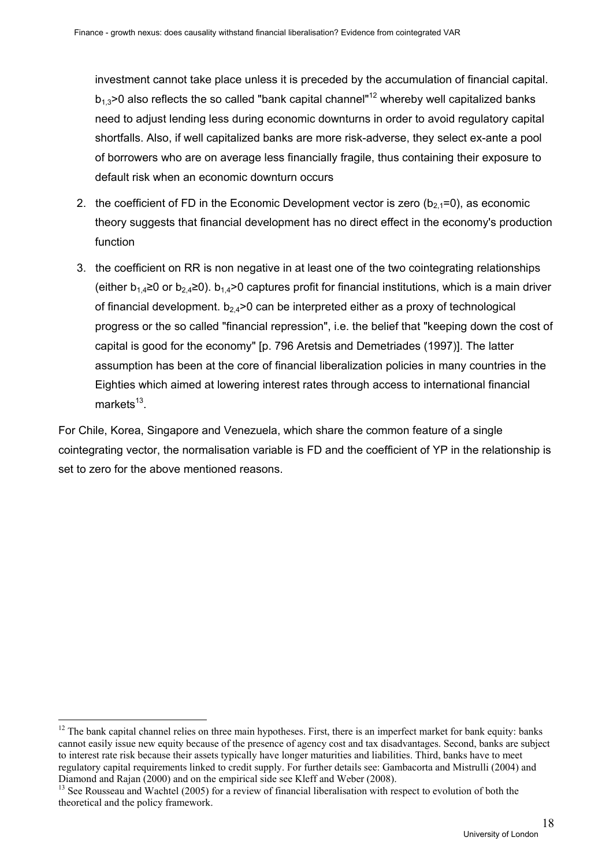investment cannot take place unless it is preceded by the accumulation of financial capital.  $b_{1,3}$ >0 also reflects the so called "bank capital channel"<sup>12</sup> whereby well capitalized banks need to adjust lending less during economic downturns in order to avoid regulatory capital shortfalls. Also, if well capitalized banks are more risk-adverse, they select ex-ante a pool of borrowers who are on average less financially fragile, thus containing their exposure to default risk when an economic downturn occurs

- 2. the coefficient of FD in the Economic Development vector is zero ( $b_{2,1}=0$ ), as economic theory suggests that financial development has no direct effect in the economy's production function
- 3. the coefficient on RR is non negative in at least one of the two cointegrating relationships (either  $b_{1,4}$ ≥0 or  $b_{2,4}$ ≥0).  $b_{1,4}$ >0 captures profit for financial institutions, which is a main driver of financial development.  $b_{2,4}$ >0 can be interpreted either as a proxy of technological progress or the so called "financial repression", i.e. the belief that "keeping down the cost of capital is good for the economy" [p. 796 Aretsis and Demetriades (1997)]. The latter assumption has been at the core of financial liberalization policies in many countries in the Eighties which aimed at lowering interest rates through access to international financial markets $13$ .

For Chile, Korea, Singapore and Venezuela, which share the common feature of a single cointegrating vector, the normalisation variable is FD and the coefficient of YP in the relationship is set to zero for the above mentioned reasons.

 $12$  The bank capital channel relies on three main hypotheses. First, there is an imperfect market for bank equity: banks cannot easily issue new equity because of the presence of agency cost and tax disadvantages. Second, banks are subject to interest rate risk because their assets typically have longer maturities and liabilities. Third, banks have to meet regulatory capital requirements linked to credit supply. For further details see: Gambacorta and Mistrulli (2004) and Diamond and Rajan (2000) and on the empirical side see Kleff and Weber (2008).

<sup>&</sup>lt;sup>13</sup> See Rousseau and Wachtel (2005) for a review of financial liberalisation with respect to evolution of both the theoretical and the policy framework.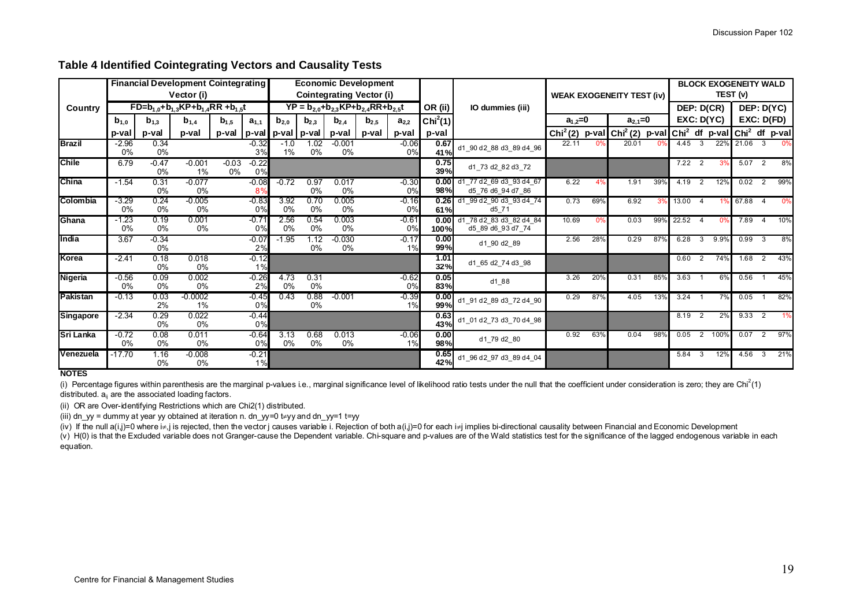|                 |                  |               | <b>Financial Development Cointegrating</b><br>Vector (i) |               |               |              | <b>Economic Development</b><br><b>Cointegrating Vector (i)</b><br>$YP = b_{2.0} + b_{2.3} K P + b_{2.4} R R + b_{2.5} t$ |                |           |                  |                      | <b>WEAK EXOGENEITY TEST (iv)</b>                  |                 |     |                                                                                |     | <b>BLOCK EXOGENEITY WALD</b><br>TEST (v) |                |      |            |                         |     |
|-----------------|------------------|---------------|----------------------------------------------------------|---------------|---------------|--------------|--------------------------------------------------------------------------------------------------------------------------|----------------|-----------|------------------|----------------------|---------------------------------------------------|-----------------|-----|--------------------------------------------------------------------------------|-----|------------------------------------------|----------------|------|------------|-------------------------|-----|
| Country         |                  |               | $FD = b_{1,0} + b_{1,3} KP + b_{1,4} RR + b_{1,5} t$     |               |               |              |                                                                                                                          |                |           |                  | OR (ii)              | IO dummies (iii)                                  |                 |     |                                                                                |     |                                          | DEP: D(CR)     |      |            | DEP: D(YC)              |     |
|                 | $b1.0$           | $b1.3$        | $b$ <sub>1.4</sub>                                       | $b_{1,5}$     | $a_{1.1}$     | $b_{2,0}$    | $b_{2,3}$                                                                                                                | $b_{2,4}$      | $b_{2.5}$ | $a_{2,2}$        | Chi <sup>2</sup> (1) |                                                   | $a_{1,2}=0$     |     | $a_{2.1} = 0$                                                                  |     |                                          | EXC: D(YC)     |      | EXC: D(FD) |                         |     |
|                 | p-val            | p-val         | p-val                                                    | p-val         | p-val         | p-val p-val  |                                                                                                                          | p-val          | p-val     | p-val            | p-val                |                                                   | $Chi2(2)$ p-val |     | Chi <sup>2</sup> (2) p-val Chi <sup>2</sup> df p-val Chi <sup>2</sup> df p-val |     |                                          |                |      |            |                         |     |
| <b>Brazil</b>   | $-2.96$<br>$0\%$ | 0.34<br>0%    |                                                          |               | $-0.32$<br>3% | $-1.0$<br>1% | 1.02<br>0%                                                                                                               | $-0.001$<br>0% |           | $-0.06$<br>0%    | 0.67<br>41%          | d1_90 d2_88 d3_89 d4_96                           | 22.11           |     | 20.01                                                                          |     | 4.45                                     | $\mathbf{B}$   | 22%  | 21.06      | $\overline{\mathbf{3}}$ | 0%  |
| Chile           | 6.79             | $-0.47$<br>0% | $-0.001$<br>1%                                           | $-0.03$<br>0% | $-0.22$<br>0% |              |                                                                                                                          |                |           |                  | 0.75<br>39%          | d1 73 d2 82 d3 72                                 |                 |     |                                                                                |     | $7.22 \quad 2$                           |                |      | 5.07       | $\overline{2}$          | 8%  |
| China           | $-1.54$          | 0.31<br>0%    | $-0.077$<br>0%                                           |               | $-0.08$<br>8% | $-0.72$      | 0.97<br>0%                                                                                                               | 0.017<br>0%    |           | $-0.30$<br>0%    | 98%                  | 0.00 d1 77 d2 69 d3 93 d4 67<br>d5 76 d6_94 d7_86 | 6.22            |     | 1.91                                                                           | 39% | 4.19                                     | $\overline{2}$ | 12%  | 0.02       | 2                       | 99% |
| Colombia        | $-3.29$<br>0%    | 0.24<br>0%    | $-0.005$<br>0%                                           |               | $-0.83$<br>0% | 3.92<br>0%   | 0.70<br>0%                                                                                                               | 0.005<br>0%    |           | $-0.16$<br>$0\%$ | 0.26<br>61%          | d1_99 d2_90 d3_93 d4_74<br>d5 71                  | 0.73            | 69% | 6.92                                                                           | 3%  | 13.00                                    | $\overline{4}$ |      | 67.88      | $\mathbf{A}$            | 0%  |
| Ghana           | $-1.23$<br>0%    | 0.19<br>0%    | 0.001<br>0%                                              |               | $-0.71$<br>0% | 2.56<br>0%   | 0.54<br>0%                                                                                                               | 0.003<br>0%    |           | $-0.61$<br>0%    | 0.00<br>100%         | d1 78 d2 83 d3 82 d4 84<br>d5 89 d6 93 d7 74      | 10.69           |     | 0.03                                                                           | 99% | $22.52$ 4                                |                |      | 7.89       | $\overline{\mathbf{4}}$ | 10% |
| India           | 3.67             | $-0.34$<br>0% |                                                          |               | $-0.07$<br>2% | $-1.95$      | 1.12<br>0%                                                                                                               | $-0.030$<br>0% |           | $-0.17$<br>1%    | 0.00<br>99%          | d1_90 d2_89                                       | 2.56            | 28% | 0.29                                                                           | 87% | 6.28                                     | 3              | 9.9% | 0.99       | 3                       | 8%  |
| Korea           | $-2.41$          | 0.18<br>0%    | 0.018<br>$0\%$                                           |               | $-0.12$<br>1% |              |                                                                                                                          |                |           |                  | 1.01<br>32%          | d1 65 d2 74 d3 98                                 |                 |     |                                                                                |     | 0.60                                     | $\overline{2}$ | 74%  | 1.68       | $\overline{2}$          | 43% |
| Nigeria         | $-0.56$<br>0%    | 0.09<br>0%    | 0.002<br>0%                                              |               | $-0.26$<br>2% | 4.73<br>0%   | 0.31<br>0%                                                                                                               |                |           | $-0.62$<br>0%    | 0.05<br>83%          | d1_88                                             | 3.26            | 20% | 0.31                                                                           | 85% | 3.63                                     |                | 6%   | 0.56       |                         | 45% |
| <b>Pakistan</b> | $-0.13$          | 0.03<br>2%    | $-0.0002$<br>$1\%$                                       |               | $-0.45$<br>0% | 0.43         | 0.88<br>$0\%$                                                                                                            | $-0.001$       |           | $-0.39$<br>1%    | 0.00<br>99%          | d1_91 d2_89 d3_72 d4_90                           | 0.29            | 87% | 4.05                                                                           | 13% | $3.24$ 1                                 |                | 7%   | 0.05       |                         | 82% |
| Singapore       | $-2.34$          | 0.29<br>0%    | 0.022<br>0%                                              |               | $-0.44$<br>0% |              |                                                                                                                          |                |           |                  | 0.63<br>43%          | d1 01 d2 73 d3 70 d4 98                           |                 |     |                                                                                |     | 8.19                                     | $\overline{2}$ | 2%   | 9.33       | $\overline{2}$          | 1%  |
| Sri Lanka       | $-0.72$<br>0%    | 0.08<br>0%    | 0.011<br>0%                                              |               | $-0.64$<br>0% | 3.13<br>0%   | 0.68<br>0%                                                                                                               | 0.013<br>0%    |           | $-0.06$<br>1%    | 0.00<br>98%          | d1 79 d2 80                                       | 0.92            | 63% | 0.04                                                                           | 98% | 0.05                                     | 2              | 100% | 0.07       | 2                       | 97% |
| Venezuela       | $-17.70$         | 1.16<br>0%    | $-0.008$<br>$0\%$                                        |               | $-0.21$<br>1% |              |                                                                                                                          |                |           |                  | 0.65<br>42%          | d1_96 d2_97 d3_89 d4_04                           |                 |     |                                                                                |     | 5.84                                     | 3              | 12%  | 4.56       | $\mathbf{3}$            | 21% |
| <b>NOTES</b>    |                  |               |                                                          |               |               |              |                                                                                                                          |                |           |                  |                      |                                                   |                 |     |                                                                                |     |                                          |                |      |            |                         |     |

## **Table 4 Identified Cointegrating Vectors and Causality Tests**

**NOTES**

(i) Percentage figures within parenthesis are the marginal p-values i.e., marginal significance level of likelihood ratio tests under the null that the coefficient under consideration is zero; they are Chi<sup>2</sup>(1)  $\frac{1}{2}$  distributed.  $a_{ii}$  are the associated loading factors.

(ii) OR are Over-identifying Restrictions which are Chi2(1) distributed.

(iii) dn\_yy = dummy at year yy obtained at iteration n. dn\_yy=0 t≠yy and dn\_yy=1 t=yy

(iv) If the null a(i,j)=0 where  $\neq$  is rejected, then the vector j causes variable i. Rejection of both a(i,j)=0 for each  $\neq$  implies bi-directional causality between Financial and Economic Development

 $(v)$  H(0) is that the Excluded variable does not Granger-cause the Dependent variable. Chi-square and p-values are of the Wald statistics test for the significance of the lagged endogenous variable in each equation.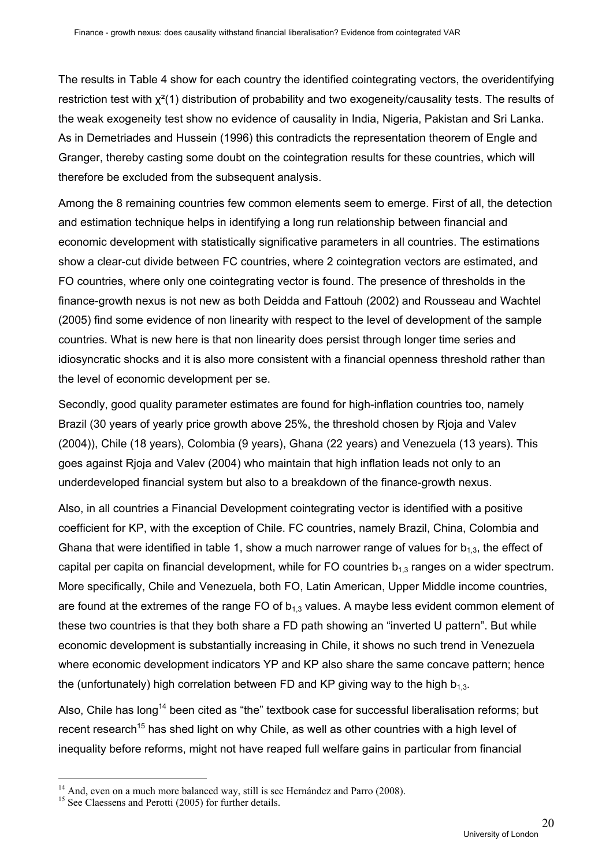The results in Table 4 show for each country the identified cointegrating vectors, the overidentifying restriction test with χ²(1) distribution of probability and two exogeneity/causality tests. The results of the weak exogeneity test show no evidence of causality in India, Nigeria, Pakistan and Sri Lanka. As in Demetriades and Hussein (1996) this contradicts the representation theorem of Engle and Granger, thereby casting some doubt on the cointegration results for these countries, which will therefore be excluded from the subsequent analysis.

Among the 8 remaining countries few common elements seem to emerge. First of all, the detection and estimation technique helps in identifying a long run relationship between financial and economic development with statistically significative parameters in all countries. The estimations show a clear-cut divide between FC countries, where 2 cointegration vectors are estimated, and FO countries, where only one cointegrating vector is found. The presence of thresholds in the finance-growth nexus is not new as both Deidda and Fattouh (2002) and Rousseau and Wachtel (2005) find some evidence of non linearity with respect to the level of development of the sample countries. What is new here is that non linearity does persist through longer time series and idiosyncratic shocks and it is also more consistent with a financial openness threshold rather than the level of economic development per se.

Secondly, good quality parameter estimates are found for high-inflation countries too, namely Brazil (30 years of yearly price growth above 25%, the threshold chosen by Rjoja and Valev (2004)), Chile (18 years), Colombia (9 years), Ghana (22 years) and Venezuela (13 years). This goes against Rjoja and Valev (2004) who maintain that high inflation leads not only to an underdeveloped financial system but also to a breakdown of the finance-growth nexus.

Also, in all countries a Financial Development cointegrating vector is identified with a positive coefficient for KP, with the exception of Chile. FC countries, namely Brazil, China, Colombia and Ghana that were identified in table 1, show a much narrower range of values for  $b_{1,3}$ , the effect of capital per capita on financial development, while for FO countries  $b_{1,3}$  ranges on a wider spectrum. More specifically, Chile and Venezuela, both FO, Latin American, Upper Middle income countries, are found at the extremes of the range FO of  $b_{1,3}$  values. A maybe less evident common element of these two countries is that they both share a FD path showing an "inverted U pattern". But while economic development is substantially increasing in Chile, it shows no such trend in Venezuela where economic development indicators YP and KP also share the same concave pattern; hence the (unfortunately) high correlation between FD and KP giving way to the high  $b_{1,3}$ .

Also, Chile has long<sup>14</sup> been cited as "the" textbook case for successful liberalisation reforms; but recent research<sup>15</sup> has shed light on why Chile, as well as other countries with a high level of inequality before reforms, might not have reaped full welfare gains in particular from financial

<sup>&</sup>lt;sup>14</sup> And, even on a much more balanced way, still is see Hernández and Parro (2008). <sup>15</sup> See Claessens and Perotti (2005) for further details.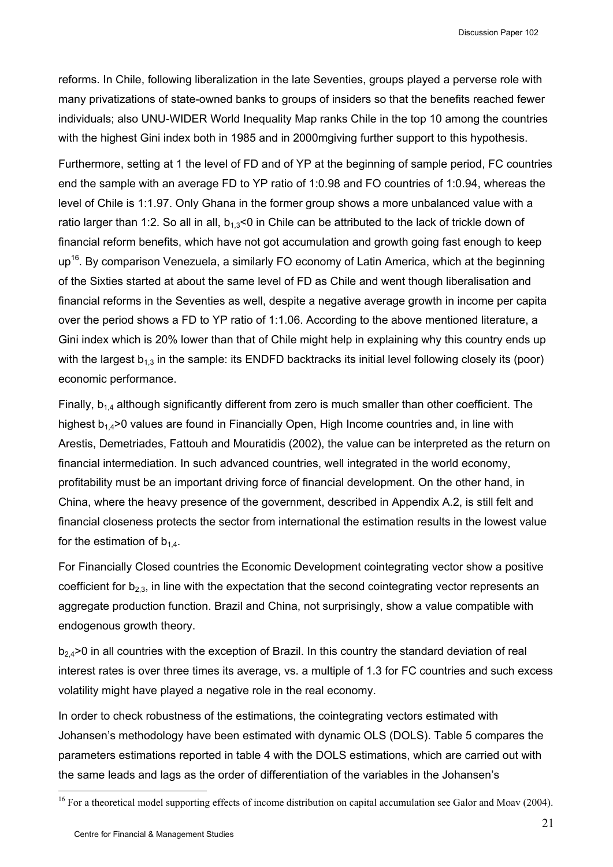Discussion Paper 102

reforms. In Chile, following liberalization in the late Seventies, groups played a perverse role with many privatizations of state-owned banks to groups of insiders so that the benefits reached fewer individuals; also UNU-WIDER World Inequality Map ranks Chile in the top 10 among the countries with the highest Gini index both in 1985 and in 2000mgiving further support to this hypothesis.

Furthermore, setting at 1 the level of FD and of YP at the beginning of sample period, FC countries end the sample with an average FD to YP ratio of 1:0.98 and FO countries of 1:0.94, whereas the level of Chile is 1:1.97. Only Ghana in the former group shows a more unbalanced value with a ratio larger than 1:2. So all in all,  $b_1 \le 0$  in Chile can be attributed to the lack of trickle down of financial reform benefits, which have not got accumulation and growth going fast enough to keep up<sup>16</sup>. By comparison Venezuela, a similarly FO economy of Latin America, which at the beginning of the Sixties started at about the same level of FD as Chile and went though liberalisation and financial reforms in the Seventies as well, despite a negative average growth in income per capita over the period shows a FD to YP ratio of 1:1.06. According to the above mentioned literature, a Gini index which is 20% lower than that of Chile might help in explaining why this country ends up with the largest  $b_{1,3}$  in the sample: its ENDFD backtracks its initial level following closely its (poor) economic performance.

Finally,  $b_{1,4}$  although significantly different from zero is much smaller than other coefficient. The highest  $b_{1,4}$ >0 values are found in Financially Open, High Income countries and, in line with Arestis, Demetriades, Fattouh and Mouratidis (2002), the value can be interpreted as the return on financial intermediation. In such advanced countries, well integrated in the world economy, profitability must be an important driving force of financial development. On the other hand, in China, where the heavy presence of the government, described in Appendix A.2, is still felt and financial closeness protects the sector from international the estimation results in the lowest value for the estimation of  $b_{1,4}$ .

For Financially Closed countries the Economic Development cointegrating vector show a positive coefficient for  $b_{2,3}$ , in line with the expectation that the second cointegrating vector represents an aggregate production function. Brazil and China, not surprisingly, show a value compatible with endogenous growth theory.

 $b_{2,4}$ >0 in all countries with the exception of Brazil. In this country the standard deviation of real interest rates is over three times its average, vs. a multiple of 1.3 for FC countries and such excess volatility might have played a negative role in the real economy.

In order to check robustness of the estimations, the cointegrating vectors estimated with Johansen's methodology have been estimated with dynamic OLS (DOLS). Table 5 compares the parameters estimations reported in table 4 with the DOLS estimations, which are carried out with the same leads and lags as the order of differentiation of the variables in the Johansen's

<sup>&</sup>lt;sup>16</sup> For a theoretical model supporting effects of income distribution on capital accumulation see Galor and Moav (2004).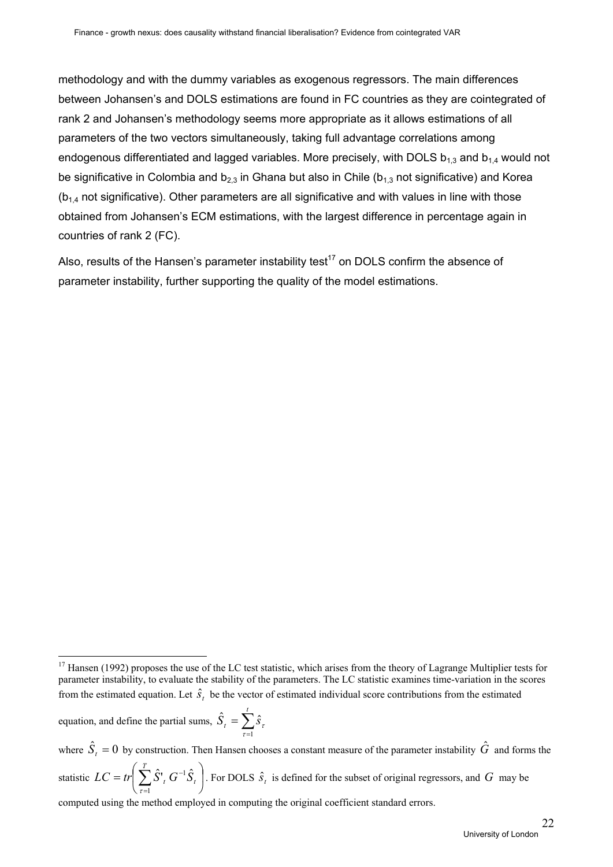methodology and with the dummy variables as exogenous regressors. The main differences between Johansen's and DOLS estimations are found in FC countries as they are cointegrated of rank 2 and Johansen's methodology seems more appropriate as it allows estimations of all parameters of the two vectors simultaneously, taking full advantage correlations among endogenous differentiated and lagged variables. More precisely, with DOLS  $b_{1,3}$  and  $b_{1,4}$  would not be significative in Colombia and  $b_{2,3}$  in Ghana but also in Chile ( $b_{1,3}$  not significative) and Korea  $(b<sub>1,4</sub>$  not significative). Other parameters are all significative and with values in line with those obtained from Johansen's ECM estimations, with the largest difference in percentage again in countries of rank 2 (FC).

Also, results of the Hansen's parameter instability test<sup>17</sup> on DOLS confirm the absence of parameter instability, further supporting the quality of the model estimations.

equation, and define the partial sums,  $\hat{S}_t = \sum_{\tau=1}^{\infty}$ *t*  $S_t = \sum \hat{s}$ 1  $\hat{S}_t = \sum \hat{S}_t$ τ

where  $\hat{S}_t = 0$  by construction. Then Hansen chooses a constant measure of the parameter instability  $\hat{G}$  and forms the statistic  $LC = tr \sum \overline{S}_{t} G^{-1} \overline{S}_{t}$ J  $\left(\sum^T_{ } \hat{S}^{\scriptscriptstyle{\intercal}}, G^{-1}\hat{S}_{\scriptscriptstyle{\intercal}}\right)$  $= tr \left( \sum_{\tau=1}^{T} \hat{S}^{\tau}{}_{t} G^{-} \right)$  $LC = tr \left| \sum S_t G^{-1} S_t \right|$ 1  $\hat S'$ .  $G^{-1}\hat S$  $\sum_{\tau=1} \hat{S}'_t G^{-1} \hat{S}_t$ . For DOLS  $\hat{S}_t$  is defined for the subset of original regressors, and *G* may be computed using the method employed in computing the original coefficient standard errors.

 $\overline{a}$  $17$  Hansen (1992) proposes the use of the LC test statistic, which arises from the theory of Lagrange Multiplier tests for parameter instability, to evaluate the stability of the parameters. The LC statistic examines time-variation in the scores from the estimated equation. Let  $\hat{S}_t$  be the vector of estimated individual score contributions from the estimated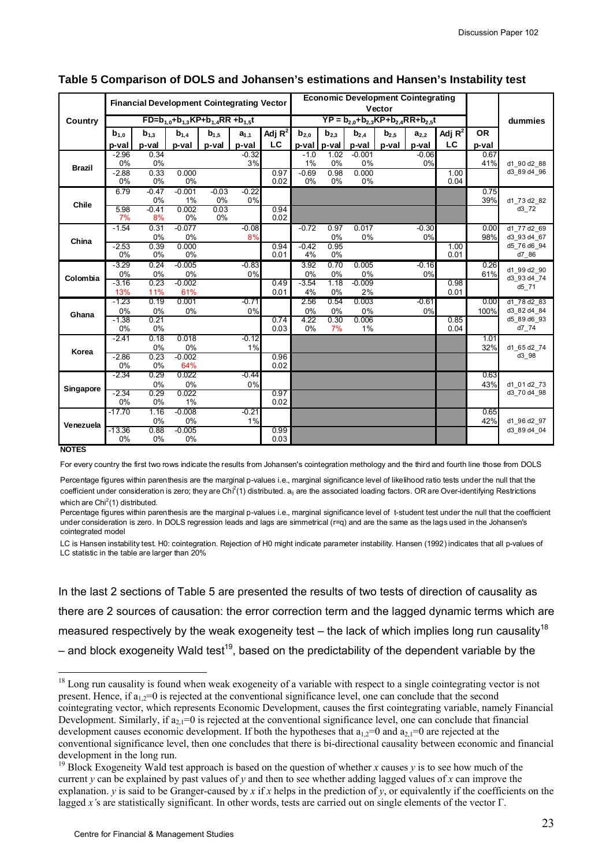|               |                    | <b>Financial Development Cointegrating Vector</b> |                                                      |            |               |              |               |            |             | Vector    | <b>Economic Development Cointegrating</b>            |              |             |                            |
|---------------|--------------------|---------------------------------------------------|------------------------------------------------------|------------|---------------|--------------|---------------|------------|-------------|-----------|------------------------------------------------------|--------------|-------------|----------------------------|
| Country       |                    |                                                   | $FD = b_{1.0} + b_{1.3} KP + b_{1.4} RR + b_{1.5} t$ |            |               |              |               |            |             |           | $YP = b_{2,0} + b_{2,3} KP + b_{2,4} RR + b_{2,5} t$ |              |             | dummies                    |
|               | $\mathbf{b}_{1,0}$ | $b_{1,3}$                                         | $b_{1.4}$                                            | $b_{1.5}$  | $a_{1.1}$     | Adj $R^2$    | $b_{2.0}$     | $b_{2,3}$  | $b_{2,4}$   | $b_{2.5}$ | $a_{2.2}$                                            | Adj $R^2$    | <b>OR</b>   |                            |
|               | p-val              | p-val                                             | p-val                                                | p-val      | p-val         | LC           | p-val         | p-val      | p-val       | p-val     | p-val                                                | LC           | p-val       |                            |
|               | $-2.96$            | 0.34                                              |                                                      |            | $-0.32$       |              | $-1.0$        | 1.02       | $-0.001$    |           | $-0.06$                                              |              | 0.67        |                            |
| <b>Brazil</b> | 0%<br>$-2.88$      | 0%<br>0.33                                        | 0.000                                                |            | 3%            | 0.97         | 1%<br>$-0.69$ | 0%<br>0.98 | 0%<br>0.000 |           | 0%                                                   | 1.00         | 41%         | d1 90 d2 88<br>d3 89 d4 96 |
|               | 0%                 | 0%                                                | 0%                                                   |            |               | 0.02         | 0%            | 0%         | 0%          |           |                                                      | 0.04         |             |                            |
|               | 6.79               | $-0.47$                                           | $-0.001$                                             | $-0.03$    | $-0.22$       |              |               |            |             |           |                                                      |              | 0.75        |                            |
| Chile         |                    | 0%                                                | 1%                                                   | 0%         | 0%            |              |               |            |             |           |                                                      |              | 39%         | d1 73 d2 82                |
|               | 5.98<br>7%         | $-0.41$<br>8%                                     | 0.002<br>0%                                          | 0.03<br>0% |               | 0.94<br>0.02 |               |            |             |           |                                                      |              |             | $d3$ 72                    |
|               | $-1.54$            | 0.31                                              | $-0.077$                                             |            | $-0.08$       |              | $-0.72$       | 0.97       | 0.017       |           | $-0.30$                                              |              | 0.00        | d1 77 d2 69                |
|               |                    | 0%                                                | 0%                                                   |            | 8%            |              |               | 0%         | 0%          |           | 0%                                                   |              | 98%         | d3 93 d4 67                |
| China         | $-2.53$            | 0.39                                              | 0.000                                                |            |               | 0.94         | $-0.42$       | 0.95       |             |           |                                                      | 1.00         |             | d5 76 d6 94                |
|               | 0%                 | 0%                                                | 0%                                                   |            |               | 0.01         | 4%            | 0%         |             |           |                                                      | 0.01         |             | d7_86                      |
|               | $-3.29$<br>0%      | 0.24<br>0%                                        | $-0.005$<br>0%                                       |            | $-0.83$<br>0% |              | 3.92<br>0%    | 0.70<br>0% | 0.005<br>0% |           | $-0.16$<br>0%                                        |              | 0.26<br>61% | d1_99 d2_90                |
| Colombia      | $-3.16$            | 0.23                                              | $-0.002$                                             |            |               | 0.49         | $-3.54$       | 1.18       | $-0.009$    |           |                                                      | 0.98         |             | d3 93 d4 74                |
|               | 13%                | 11%                                               | 61%                                                  |            |               | 0.01         | 4%            | 0%         | 2%          |           |                                                      | 0.01         |             | d5 71                      |
|               | $-1.23$            | 0.19                                              | 0.001                                                |            | $-0.71$       |              | 2.56          | 0.54       | 0.003       |           | $-0.61$                                              |              | 0.00        | d1 78 d2 83                |
| Ghana         | 0%                 | 0%                                                | 0%                                                   |            | 0%            |              | 0%            | 0%         | 0%          |           | 0%                                                   |              | 100%        | d3 82 d4 84                |
|               | $-1.38$<br>0%      | 0.21<br>0%                                        |                                                      |            |               | 0.74<br>0.03 | 4.22<br>0%    | 0.30<br>7% | 0.006<br>1% |           |                                                      | 0.85<br>0.04 |             | d5_89 d6_93<br>d7 74       |
|               | $-2.41$            | 0.18                                              | 0.018                                                |            | $-0.12$       |              |               |            |             |           |                                                      |              | 1.01        |                            |
|               |                    | 0%                                                | 0%                                                   |            | 1%            |              |               |            |             |           |                                                      |              | 32%         | d1_65 d2_74                |
| Korea         | $-2.86$            | 0.23                                              | $-0.002$                                             |            |               | 0.96         |               |            |             |           |                                                      |              |             | $d3$ 98                    |
|               | 0%                 | 0%                                                | 64%                                                  |            |               | 0.02         |               |            |             |           |                                                      |              |             |                            |
|               | $-2.34$            | 0.29<br>0%                                        | 0.022<br>0%                                          |            | $-0.44$<br>0% |              |               |            |             |           |                                                      |              | 0.63<br>43% | d1 01 d2 73                |
| Singapore     | $-2.34$            | 0.29                                              | 0.022                                                |            |               | 0.97         |               |            |             |           |                                                      |              |             | d3_70 d4_98                |
|               | 0%                 | $0\%$                                             | 1%                                                   |            |               | 0.02         |               |            |             |           |                                                      |              |             |                            |
|               | $-17.70$           | 1.16                                              | $-0.008$                                             |            | $-0.21$       |              |               |            |             |           |                                                      |              | 0.65        |                            |
| Venezuela     |                    | 0%                                                | 0%                                                   |            | 1%            |              |               |            |             |           |                                                      |              | 42%         | d1 96 d2 97                |
|               | $-13.36$<br>0%     | 0.88<br>0%                                        | $-0.005$<br>0%                                       |            |               | 0.99<br>0.03 |               |            |             |           |                                                      |              |             | d3 89 d4 04                |
|               |                    |                                                   |                                                      |            |               |              |               |            |             |           |                                                      |              |             |                            |

### **Table 5 Comparison of DOLS and Johansen's estimations and Hansen's Instability test**

**NOTES**

For every country the first two rows indicate the results from Johansen's cointegration methology and the third and fourth line those from DOLS

Percentage figures within parenthesis are the marginal p-values i.e., marginal significance level of likelihood ratio tests under the null that the coefficient under consideration is zero; they are Ch $\hat{r}(1)$  distributed.  $a_{ij}$  are the associated loading factors. OR are Over-identifying Restrictions which are Chi<sup>2</sup>(1) distributed.

Percentage figures within parenthesis are the marginal p-values i.e., marginal significance level of t-student test under the null that the coefficient under consideration is zero. In DOLS regression leads and lags are simmetrical (r=q) and are the same as the lags used in the Johansen's cointegrated model

LC is Hansen instability test. H0: cointegration. Rejection of H0 might indicate parameter instability. Hansen (1992) indicates that all p-values of LC statistic in the table are larger than 20%

In the last 2 sections of Table 5 are presented the results of two tests of direction of causality as there are 2 sources of causation: the error correction term and the lagged dynamic terms which are measured respectively by the weak exogeneity test – the lack of which implies long run causality<sup>18</sup> – and block exogeneity Wald test<sup>19</sup>, based on the predictability of the dependent variable by the

 $18$  Long run causality is found when weak exogeneity of a variable with respect to a single cointegrating vector is not present. Hence, if  $a_1$ , =0 is rejected at the conventional significance level, one can conclude that the second cointegrating vector, which represents Economic Development, causes the first cointegrating variable, namely Financial Development. Similarly, if  $a_2 = 0$  is rejected at the conventional significance level, one can conclude that financial development causes economic development. If both the hypotheses that  $a_1$ , =0 and  $a_2$ , =0 are rejected at the conventional significance level, then one concludes that there is bi-directional causality between economic and financial development in the long run.

<sup>&</sup>lt;sup>19</sup> Block Exogeneity Wald test approach is based on the question of whether *x* causes *y* is to see how much of the current *y* can be explained by past values of *y* and then to see whether adding lagged values of *x* can improve the explanation. *y* is said to be Granger-caused by *x* if *x* helps in the prediction of *y*, or equivalently if the coefficients on the lagged *x'*s are statistically significant. In other words, tests are carried out on single elements of the vector Γ.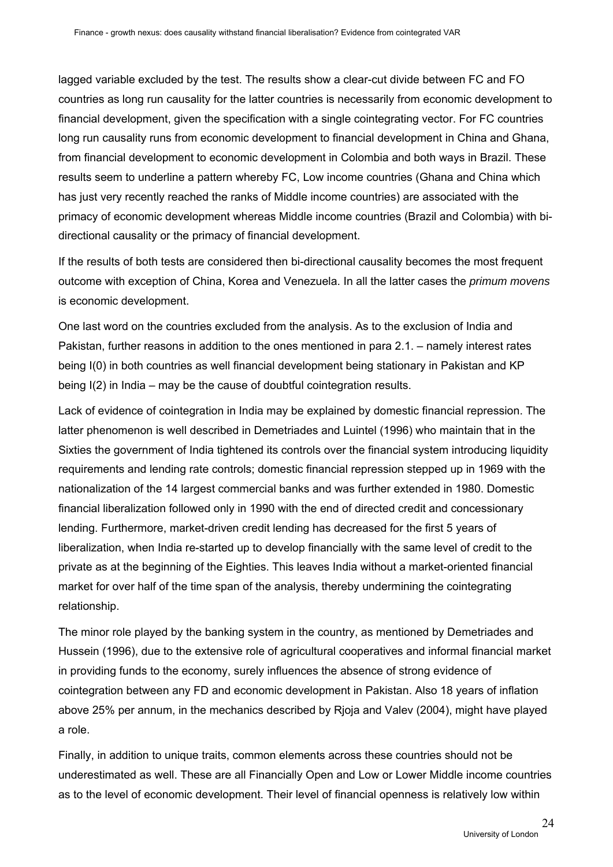lagged variable excluded by the test. The results show a clear-cut divide between FC and FO countries as long run causality for the latter countries is necessarily from economic development to financial development, given the specification with a single cointegrating vector. For FC countries long run causality runs from economic development to financial development in China and Ghana, from financial development to economic development in Colombia and both ways in Brazil. These results seem to underline a pattern whereby FC, Low income countries (Ghana and China which has just very recently reached the ranks of Middle income countries) are associated with the primacy of economic development whereas Middle income countries (Brazil and Colombia) with bidirectional causality or the primacy of financial development.

If the results of both tests are considered then bi-directional causality becomes the most frequent outcome with exception of China, Korea and Venezuela. In all the latter cases the *primum movens* is economic development.

One last word on the countries excluded from the analysis. As to the exclusion of India and Pakistan, further reasons in addition to the ones mentioned in para 2.1. – namely interest rates being I(0) in both countries as well financial development being stationary in Pakistan and KP being I(2) in India – may be the cause of doubtful cointegration results.

Lack of evidence of cointegration in India may be explained by domestic financial repression. The latter phenomenon is well described in Demetriades and Luintel (1996) who maintain that in the Sixties the government of India tightened its controls over the financial system introducing liquidity requirements and lending rate controls; domestic financial repression stepped up in 1969 with the nationalization of the 14 largest commercial banks and was further extended in 1980. Domestic financial liberalization followed only in 1990 with the end of directed credit and concessionary lending. Furthermore, market-driven credit lending has decreased for the first 5 years of liberalization, when India re-started up to develop financially with the same level of credit to the private as at the beginning of the Eighties. This leaves India without a market-oriented financial market for over half of the time span of the analysis, thereby undermining the cointegrating relationship.

The minor role played by the banking system in the country, as mentioned by Demetriades and Hussein (1996), due to the extensive role of agricultural cooperatives and informal financial market in providing funds to the economy, surely influences the absence of strong evidence of cointegration between any FD and economic development in Pakistan. Also 18 years of inflation above 25% per annum, in the mechanics described by Rjoja and Valev (2004), might have played a role.

Finally, in addition to unique traits, common elements across these countries should not be underestimated as well. These are all Financially Open and Low or Lower Middle income countries as to the level of economic development. Their level of financial openness is relatively low within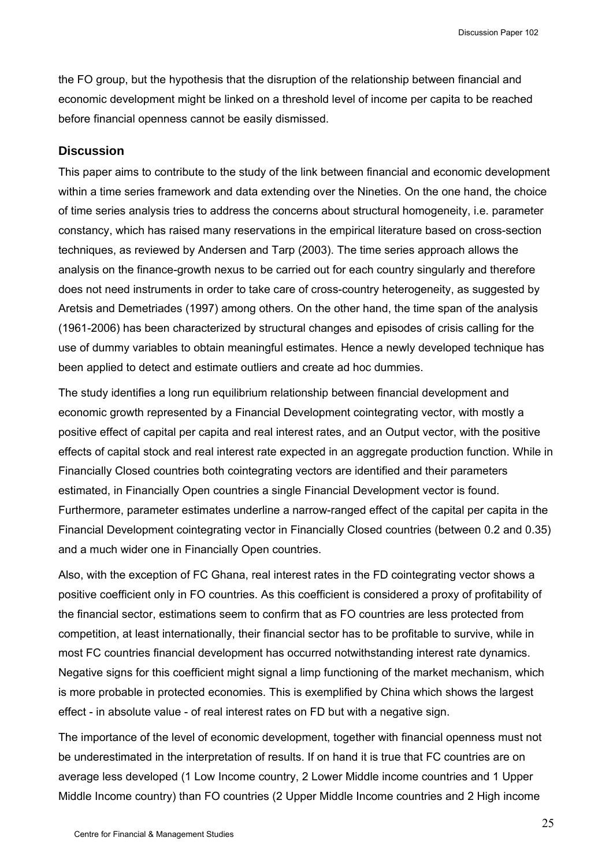Discussion Paper 102

the FO group, but the hypothesis that the disruption of the relationship between financial and economic development might be linked on a threshold level of income per capita to be reached before financial openness cannot be easily dismissed.

## **Discussion**

This paper aims to contribute to the study of the link between financial and economic development within a time series framework and data extending over the Nineties. On the one hand, the choice of time series analysis tries to address the concerns about structural homogeneity, i.e. parameter constancy, which has raised many reservations in the empirical literature based on cross-section techniques, as reviewed by Andersen and Tarp (2003). The time series approach allows the analysis on the finance-growth nexus to be carried out for each country singularly and therefore does not need instruments in order to take care of cross-country heterogeneity, as suggested by Aretsis and Demetriades (1997) among others. On the other hand, the time span of the analysis (1961-2006) has been characterized by structural changes and episodes of crisis calling for the use of dummy variables to obtain meaningful estimates. Hence a newly developed technique has been applied to detect and estimate outliers and create ad hoc dummies.

The study identifies a long run equilibrium relationship between financial development and economic growth represented by a Financial Development cointegrating vector, with mostly a positive effect of capital per capita and real interest rates, and an Output vector, with the positive effects of capital stock and real interest rate expected in an aggregate production function. While in Financially Closed countries both cointegrating vectors are identified and their parameters estimated, in Financially Open countries a single Financial Development vector is found. Furthermore, parameter estimates underline a narrow-ranged effect of the capital per capita in the Financial Development cointegrating vector in Financially Closed countries (between 0.2 and 0.35) and a much wider one in Financially Open countries.

Also, with the exception of FC Ghana, real interest rates in the FD cointegrating vector shows a positive coefficient only in FO countries. As this coefficient is considered a proxy of profitability of the financial sector, estimations seem to confirm that as FO countries are less protected from competition, at least internationally, their financial sector has to be profitable to survive, while in most FC countries financial development has occurred notwithstanding interest rate dynamics. Negative signs for this coefficient might signal a limp functioning of the market mechanism, which is more probable in protected economies. This is exemplified by China which shows the largest effect - in absolute value - of real interest rates on FD but with a negative sign.

The importance of the level of economic development, together with financial openness must not be underestimated in the interpretation of results. If on hand it is true that FC countries are on average less developed (1 Low Income country, 2 Lower Middle income countries and 1 Upper Middle Income country) than FO countries (2 Upper Middle Income countries and 2 High income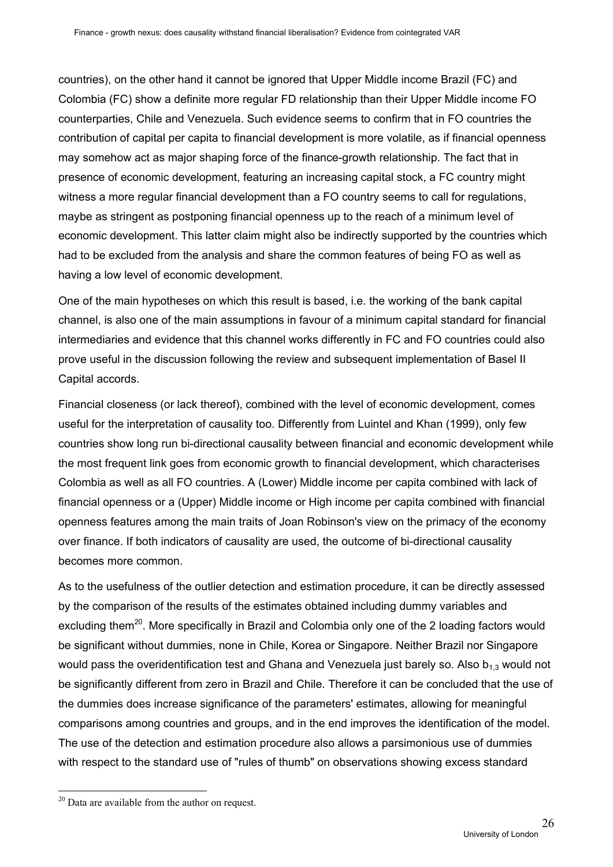countries), on the other hand it cannot be ignored that Upper Middle income Brazil (FC) and Colombia (FC) show a definite more regular FD relationship than their Upper Middle income FO counterparties, Chile and Venezuela. Such evidence seems to confirm that in FO countries the contribution of capital per capita to financial development is more volatile, as if financial openness may somehow act as major shaping force of the finance-growth relationship. The fact that in presence of economic development, featuring an increasing capital stock, a FC country might witness a more regular financial development than a FO country seems to call for regulations, maybe as stringent as postponing financial openness up to the reach of a minimum level of economic development. This latter claim might also be indirectly supported by the countries which had to be excluded from the analysis and share the common features of being FO as well as having a low level of economic development.

One of the main hypotheses on which this result is based, i.e. the working of the bank capital channel, is also one of the main assumptions in favour of a minimum capital standard for financial intermediaries and evidence that this channel works differently in FC and FO countries could also prove useful in the discussion following the review and subsequent implementation of Basel II Capital accords.

Financial closeness (or lack thereof), combined with the level of economic development, comes useful for the interpretation of causality too. Differently from Luintel and Khan (1999), only few countries show long run bi-directional causality between financial and economic development while the most frequent link goes from economic growth to financial development, which characterises Colombia as well as all FO countries. A (Lower) Middle income per capita combined with lack of financial openness or a (Upper) Middle income or High income per capita combined with financial openness features among the main traits of Joan Robinson's view on the primacy of the economy over finance. If both indicators of causality are used, the outcome of bi-directional causality becomes more common.

As to the usefulness of the outlier detection and estimation procedure, it can be directly assessed by the comparison of the results of the estimates obtained including dummy variables and excluding them<sup>20</sup>. More specifically in Brazil and Colombia only one of the 2 loading factors would be significant without dummies, none in Chile, Korea or Singapore. Neither Brazil nor Singapore would pass the overidentification test and Ghana and Venezuela just barely so. Also  $b_{1,3}$  would not be significantly different from zero in Brazil and Chile. Therefore it can be concluded that the use of the dummies does increase significance of the parameters' estimates, allowing for meaningful comparisons among countries and groups, and in the end improves the identification of the model. The use of the detection and estimation procedure also allows a parsimonious use of dummies with respect to the standard use of "rules of thumb" on observations showing excess standard

<sup>&</sup>lt;sup>20</sup> Data are available from the author on request.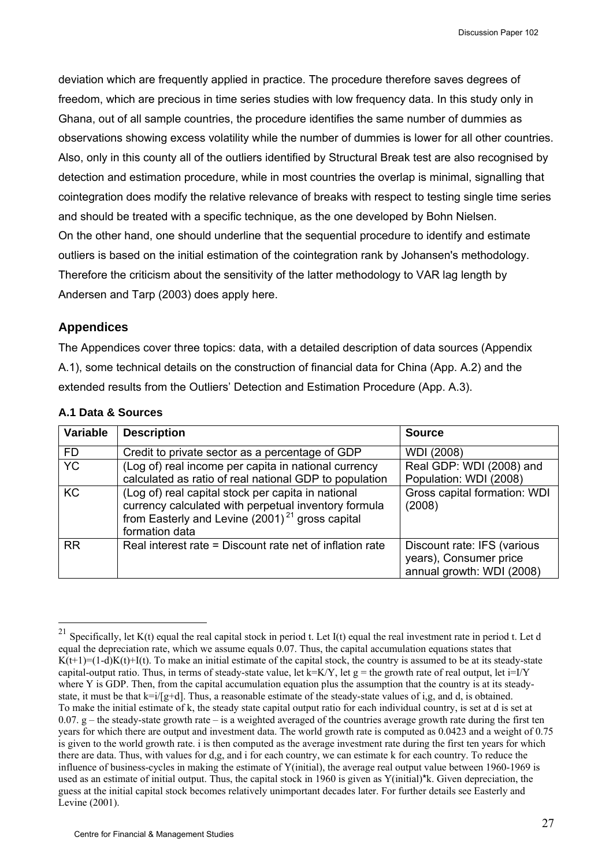deviation which are frequently applied in practice. The procedure therefore saves degrees of freedom, which are precious in time series studies with low frequency data. In this study only in Ghana, out of all sample countries, the procedure identifies the same number of dummies as observations showing excess volatility while the number of dummies is lower for all other countries. Also, only in this county all of the outliers identified by Structural Break test are also recognised by detection and estimation procedure, while in most countries the overlap is minimal, signalling that cointegration does modify the relative relevance of breaks with respect to testing single time series and should be treated with a specific technique, as the one developed by Bohn Nielsen. On the other hand, one should underline that the sequential procedure to identify and estimate outliers is based on the initial estimation of the cointegration rank by Johansen's methodology. Therefore the criticism about the sensitivity of the latter methodology to VAR lag length by Andersen and Tarp (2003) does apply here.

## **Appendices**

The Appendices cover three topics: data, with a detailed description of data sources (Appendix A.1), some technical details on the construction of financial data for China (App. A.2) and the extended results from the Outliers' Detection and Estimation Procedure (App. A.3).

| Variable  | <b>Description</b>                                                                                                                                                                   | <b>Source</b>                                                                      |
|-----------|--------------------------------------------------------------------------------------------------------------------------------------------------------------------------------------|------------------------------------------------------------------------------------|
| <b>FD</b> | Credit to private sector as a percentage of GDP                                                                                                                                      | WDI (2008)                                                                         |
| <b>YC</b> | (Log of) real income per capita in national currency<br>calculated as ratio of real national GDP to population                                                                       | Real GDP: WDI (2008) and<br>Population: WDI (2008)                                 |
| <b>KC</b> | (Log of) real capital stock per capita in national<br>currency calculated with perpetual inventory formula<br>from Easterly and Levine $(2001)^{21}$ gross capital<br>formation data | Gross capital formation: WDI<br>(2008)                                             |
| <b>RR</b> | Real interest rate = Discount rate net of inflation rate                                                                                                                             | Discount rate: IFS (various<br>years), Consumer price<br>annual growth: WDI (2008) |

### **A.1 Data & Sources**

 <sup>21</sup> Specifically, let K(t) equal the real capital stock in period t. Let I(t) equal the real investment rate in period t. Let d equal the depreciation rate, which we assume equals 0.07. Thus, the capital accumulation equations states that  $K(t+1)=(1-d)K(t)+I(t)$ . To make an initial estimate of the capital stock, the country is assumed to be at its steady-state capital-output ratio. Thus, in terms of steady-state value, let  $k=K/Y$ , let g = the growth rate of real output, let  $i=I/Y$ where Y is GDP. Then, from the capital accumulation equation plus the assumption that the country is at its steadystate, it must be that  $k=i/[g+d]$ . Thus, a reasonable estimate of the steady-state values of i,g, and d, is obtained. To make the initial estimate of k, the steady state capital output ratio for each individual country, is set at d is set at 0.07.  $g$  – the steady-state growth rate – is a weighted averaged of the countries average growth rate during the first ten years for which there are output and investment data. The world growth rate is computed as 0.0423 and a weight of 0.75 is given to the world growth rate. i is then computed as the average investment rate during the first ten years for which there are data. Thus, with values for d,g, and i for each country, we can estimate k for each country. To reduce the influence of business-cycles in making the estimate of Y(initial), the average real output value between 1960-1969 is used as an estimate of initial output. Thus, the capital stock in 1960 is given as Y(initial)\*k. Given depreciation, the guess at the initial capital stock becomes relatively unimportant decades later. For further details see Easterly and Levine (2001).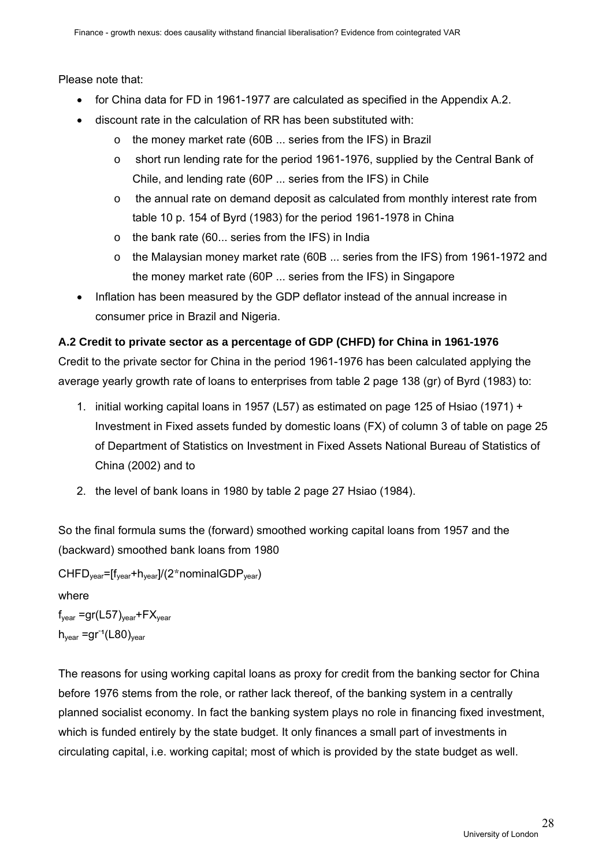Please note that:

- for China data for FD in 1961-1977 are calculated as specified in the Appendix A.2.
- discount rate in the calculation of RR has been substituted with:
	- o the money market rate (60B ... series from the IFS) in Brazil
	- o short run lending rate for the period 1961-1976, supplied by the Central Bank of Chile, and lending rate (60P ... series from the IFS) in Chile
	- o the annual rate on demand deposit as calculated from monthly interest rate from table 10 p. 154 of Byrd (1983) for the period 1961-1978 in China
	- o the bank rate (60... series from the IFS) in India
	- $\circ$  the Malaysian money market rate (60B  $\ldots$  series from the IFS) from 1961-1972 and the money market rate (60P ... series from the IFS) in Singapore
- Inflation has been measured by the GDP deflator instead of the annual increase in consumer price in Brazil and Nigeria.

## **A.2 Credit to private sector as a percentage of GDP (CHFD) for China in 1961-1976**

Credit to the private sector for China in the period 1961-1976 has been calculated applying the average yearly growth rate of loans to enterprises from table 2 page 138 (gr) of Byrd (1983) to:

- 1. initial working capital loans in 1957 (L57) as estimated on page 125 of Hsiao (1971) + Investment in Fixed assets funded by domestic loans (FX) of column 3 of table on page 25 of Department of Statistics on Investment in Fixed Assets National Bureau of Statistics of China (2002) and to
- 2. the level of bank loans in 1980 by table 2 page 27 Hsiao (1984).

So the final formula sums the (forward) smoothed working capital loans from 1957 and the (backward) smoothed bank loans from 1980

 $CHFD<sub>year</sub>=[f<sub>year</sub>+h<sub>year</sub>]/(2<sup>*</sup>nominalGDP<sub>year</sub>)$ 

where

 $f_{year} = gr(L57)_{year} + FX_{year}$ h<sub>year</sub> =gr<sup>-1</sup>(L80)<sub>year</sub>

The reasons for using working capital loans as proxy for credit from the banking sector for China before 1976 stems from the role, or rather lack thereof, of the banking system in a centrally planned socialist economy. In fact the banking system plays no role in financing fixed investment, which is funded entirely by the state budget. It only finances a small part of investments in circulating capital, i.e. working capital; most of which is provided by the state budget as well.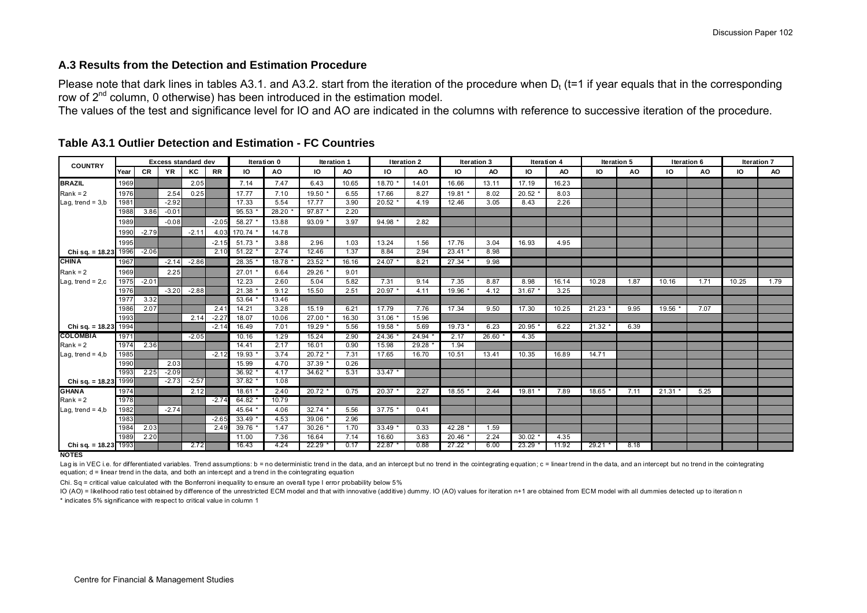## **A.3 Results from the Detection and Estimation Procedure**

Please note that dark lines in tables A3.1. and A3.2. start from the iteration of the procedure when  $D_t$  (t=1 if year equals that in the corresponding row of 2<sup>nd</sup> column, 0 otherwise) has been introduced in the estimation model.

The values of the test and significance level for IO and AO are indicated in the columns with reference to successive iteration of the procedure.

| <b>COUNTRY</b>     |      |           |           | Excess standard dev |         |           | Iteration 0 |           | Iteration 1 |           | Iteration 2 |          | Iteration 3 |       | Iteration 4 |          | Iteration 5 |           | Iteration 6 |       | Iteration 7 |
|--------------------|------|-----------|-----------|---------------------|---------|-----------|-------------|-----------|-------------|-----------|-------------|----------|-------------|-------|-------------|----------|-------------|-----------|-------------|-------|-------------|
|                    | Year | <b>CR</b> | <b>YR</b> | КC                  | RR      | IО        | <b>AO</b>   | ю         | <b>AO</b>   | IО        | <b>AO</b>   | Ю        | <b>AO</b>   | ю     | <b>AO</b>   | 10       | <b>AO</b>   | IО        | <b>AO</b>   | Ю     | AO          |
| <b>BRAZIL</b>      | 1969 |           |           | 2.05                |         | 7.14      | 7.47        | 6.43      | 10.65       | 18.70     | 14.01       | 16.66    | 13.11       | 17.19 | 16.23       |          |             |           |             |       |             |
| $Rank = 2$         | 1976 |           | 2.54      | 0.25                |         | 17.77     | 7.10        | 19.50 *   | 6.55        | 17.66     | 8.27        | 19.81 *  | 8.02        | 20.52 | 8.03        |          |             |           |             |       |             |
| Lag, trend = $3,b$ | 1981 |           | $-2.92$   |                     |         | 17.33     | 5.54        | 17.77     | 3.90        | $20.52*$  | 4.19        | 12.46    | 3.05        | 8.43  | 2.26        |          |             |           |             |       |             |
|                    | 1988 | 3.86      | $-0.01$   |                     |         | 95.53     | 28.20       | 97.87     | 2.20        |           |             |          |             |       |             |          |             |           |             |       |             |
|                    | 1989 |           | $-0.08$   |                     | $-2.05$ | 58.27     | 13.88       | 93.09     | 3.97        | 94.98     | 2.82        |          |             |       |             |          |             |           |             |       |             |
|                    | 1990 | $-2.79$   |           | $-2.11$             | 4.03    | 170.74    | 14.78       |           |             |           |             |          |             |       |             |          |             |           |             |       |             |
|                    | 1995 |           |           |                     | $-2.15$ | 51.73     | 3.88        | 2.96      | 1.03        | 13.24     | 1.56        | 17.76    | 3.04        | 16.93 | 4.95        |          |             |           |             |       |             |
| Chi sq. = 18.23    | 1996 | $-2.06$   |           |                     | 2.10    | 51.22     | 2.74        | 12.46     | 1.37        | 8.84      | 2.94        | 23.41    | 8.98        |       |             |          |             |           |             |       |             |
| <b>CHINA</b>       | 1967 |           | $-2.14$   | $-2.86$             |         | $28.35*$  | 18.78       | $23.52*$  | 16.16       | $24.07*$  | 8.21        | $27.34*$ | 9.98        |       |             |          |             |           |             |       |             |
| $Rank = 2$         | 1969 |           | 2.25      |                     |         | $27.01$ * | 6.64        | 29.26 *   | 9.01        |           |             |          |             |       |             |          |             |           |             |       |             |
| Lag, trend = $2,c$ | 1975 | $-2.01$   |           |                     |         | 12.23     | 2.60        | 5.04      | 5.82        | 7.31      | 9.14        | 7.35     | 8.87        | 8.98  | 16.14       | 10.28    | 1.87        | 10.16     | 1.71        | 10.25 | 1.79        |
|                    | 1976 |           | $-3.20$   | $-2.88$             |         | 21.38     | 9.12        | 15.50     | 2.51        | 20.97 *   | 4.11        | 19.96    | 4.12        | 31.67 | 3.25        |          |             |           |             |       |             |
|                    | 1977 | 3.32      |           |                     |         | 53.64     | 13.46       |           |             |           |             |          |             |       |             |          |             |           |             |       |             |
|                    | 1986 | 2.07      |           |                     | 2.41    | 14.21     | 3.28        | 15.19     | 6.21        | 17.79     | 7.76        | 17.34    | 9.50        | 17.30 | 10.25       | 21.23    | 9.95        | 19.56 *   | 7.07        |       |             |
|                    | 1993 |           |           | 2.14                | $-2.27$ | 18.07     | 10.06       | 27.00 *   | 16.30       | 31.06     | 15.96       |          |             |       |             |          |             |           |             |       |             |
| Chi sq. = 18.23    | 1994 |           |           |                     | $-2.14$ | 16.49     | 7.01        | 19.29     | 5.56        | 19.58     | 5.69        | 19.73    | 6.23        | 20.95 | 6.22        | $21.32*$ | 6.39        |           |             |       |             |
| <b>COLOMBIA</b>    | 1971 |           |           | $-2.05$             |         | 10.16     | 1.29        | 15.24     | 2.90        | 24.36     | 24.94       | 2.17     | 26.60       | 4.35  |             |          |             |           |             |       |             |
| $Rank = 2$         | 1974 | 2.36      |           |                     |         | 14.41     | 2.17        | 16.01     | 0.90        | 15.98     | 29.28       | 1.94     |             |       |             |          |             |           |             |       |             |
| Lag, trend = $4,b$ | 1985 |           |           |                     | $-2.12$ | 19.93     | 3.74        | 20.72     | 7.31        | 17.65     | 16.70       | 10.51    | 13.41       | 10.35 | 16.89       | 14.71    |             |           |             |       |             |
|                    | 1990 |           | 2.03      |                     |         | 15.99     | 4.70        | 37.39 *   | 0.26        |           |             |          |             |       |             |          |             |           |             |       |             |
|                    | 1993 | 2.25      | $-2.09$   |                     |         | 36.92     | 4.17        | $34.62*$  | 5.31        | $33.47*$  |             |          |             |       |             |          |             |           |             |       |             |
| Chi sq. = 18.23    | 1999 |           | $-2.73$   | $-2.57$             |         | 37.82     | 1.08        |           |             |           |             |          |             |       |             |          |             |           |             |       |             |
| <b>GHANA</b>       | 1974 |           |           | 2.12                |         | $18.61*$  | 2.40        | $20.72*$  | 0.75        | $20.37*$  | 2.27        | 18.55 *  | 2.44        | 19.81 | 7.89        | $18.65*$ | 7.11        | $21.31$ * | 5.25        |       |             |
| $Rank = 2$         | 1978 |           |           |                     | $-2.74$ | 64.82     | 10.79       |           |             |           |             |          |             |       |             |          |             |           |             |       |             |
| Lag, trend = $4,b$ | 1982 |           | $-2.74$   |                     |         | 45.64 *   | 4.06        | $32.74$ * | 5.56        | $37.75$ * | 0.41        |          |             |       |             |          |             |           |             |       |             |
|                    | 1983 |           |           |                     | $-2.65$ | 33.49'    | 4.53        | $39.06*$  | 2.96        |           |             |          |             |       |             |          |             |           |             |       |             |
|                    | 1984 | 2.03      |           |                     | 2.49    | 39.76 *   | 1.47        | 30.26     | 1.70        | 33.49     | 0.33        | 42.28    | 1.59        |       |             |          |             |           |             |       |             |
|                    | 1989 | 2.20      |           |                     |         | 11.00     | 7.36        | 16.64     | 7.14        | 16.60     | 3.63        | 20.46    | 2.24        | 30.02 | 4.35        |          |             |           |             |       |             |
| Chi sq. = $18.23$  | 1993 |           |           | 2.72                |         | 16.43     | 4.24        | 22.29     | 0.17        | $22.87*$  | 0.88        | 27.22    | 6.00        | 23.29 | 11.92       | 29.21    | 8.18        |           |             |       |             |

### **Table A3.1 Outlier Detection and Estimation - FC Countries**

**NOTES**

Lag is in VEC i.e. for differentiated variables. Trend assumptions: b = no deterministic trend in the data, and an intercept but no trend in the cointegrating equation; c = linear trend in the data, and an intercept but no equation; d = linear trend in the data, and both an intercept and a trend in the cointegrating equation

Chi. Sq = critical value calculated with the Bonferroni inequality to ensure an overall type I error probability below 5%

IO (AO) = likelihood ratio test obtained by difference of the unrestricted ECM model and that with innovative (additive) dummy. IO (AO) values for iteration n+1 are obtained from ECM model with all dummies detected up to i

\* indicates 5% significance with respect to critical value in column 1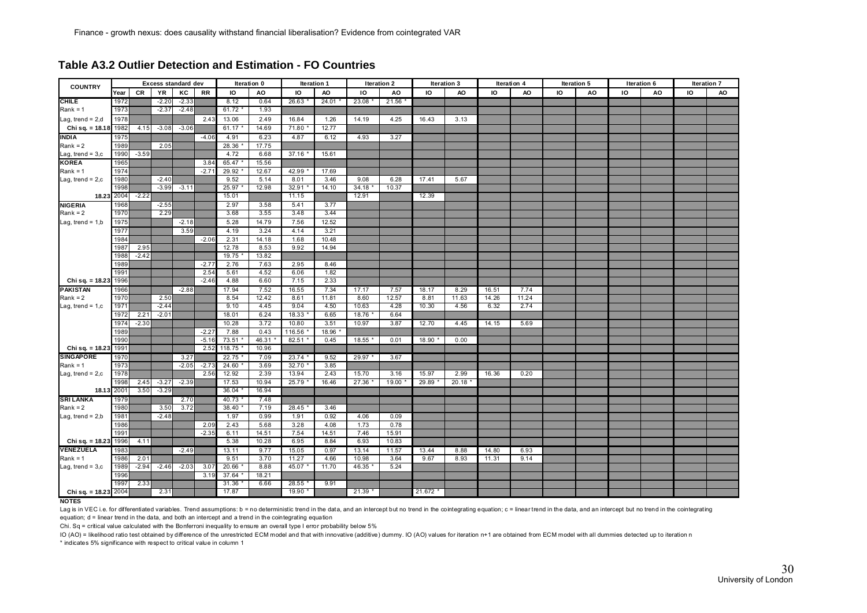**Table A3.2 Outlier Detection and Estimation - FO Countries** 

| YR<br>ΚC<br><b>CR</b><br><b>RR</b><br>IО<br>AO<br>10<br><b>AO</b><br>IO<br>AO<br>ю<br><b>AO</b><br>IO<br>AO<br>Ю<br>AO<br>IО<br>AO<br>ю<br>Year<br><b>CHILE</b><br>8.12<br>1972<br>$-2.20$<br>$-2.33$<br>0.64<br>26.63<br>24.01<br>23.08<br>21.56<br>1973<br>$61.72*$<br>Rank = $1$<br>$-2.37$<br>$-2.48$<br>1.93<br>Lag, trend = $2,d$<br>1978<br>2.43<br>13.06<br>2.49<br>16.84<br>1.26<br>14.19<br>4.25<br>16.43<br>3.13<br>61.17<br>14.69<br>71.80<br>12.77<br>1982<br>4.15<br>$-3.08$<br>$-3.06$<br>Chi sq. = 18.18<br>4.87<br><b>NDIA</b><br>4.91<br>6.23<br>6.12<br>1975<br>4.93<br>3.27<br>$-4.06$<br>28.36<br>17.75<br>$Rank = 2$<br>1989<br>2.05<br>$-3.59$<br>37.16<br>1990<br>4.72<br>6.68<br>15.61<br>Lag, trend = $3,c$<br>65.47<br>15.56<br>1965<br><b>KOREA</b><br>3.84<br>12.67<br>1974<br>29.92<br>42.99<br>17.69<br>$Rank = 1$<br>$-2.7'$<br>8.01<br>1980<br>$-2.40$<br>9.52<br>5.14<br>3.46<br>Lag, trend = $2,c$<br>9.08<br>6.28<br>17.41<br>5.67<br>1998<br>25.97<br>12.98<br>32.91<br>14.10<br>34.18<br>$-3.99$<br>$-3.11$<br>10.37<br>2004<br>$-2.22$<br>15.01<br>11.15<br>12.91<br>12.39<br>18.23<br>3.58<br>5.41<br>3.77<br><b>NIGERIA</b><br>1968<br>$-2.55$<br>2.97<br>3.55<br>3.44<br>$Rank = 2$<br>1970<br>2.29<br>3.68<br>3.48<br>7.56<br>14.79<br>12.52<br>1975<br>$-2.18$<br>5.28<br>Lag, trend = $1,b$<br>1977<br>3.59<br>4.19<br>3.24<br>4.14<br>3.21<br>1984<br>$-2.06$<br>2.31<br>14.18<br>1.68<br>10.48<br>9.92<br>1987<br>2.95<br>12.78<br>8.53<br>14.94<br>13.82<br>$-2.42$<br>19.75<br>1988<br>7.63<br>1989<br>2.76<br>2.95<br>8.46<br>$-2.77$<br>4.52<br>1991<br>6.06<br>1.82<br>2.54<br>5.61<br>1996<br>$-2.46$<br>4.88<br>6.60<br>7.15<br>2.33<br>Chi sq. = 18.23<br><b>PAKISTAN</b><br>7.52<br>16.55<br>7.34<br>17.94<br>18.17<br>1966<br>$-2.88$<br>17.17<br>7.57<br>8.29<br>16.51<br>7.74<br>8.61<br>11.81<br>8.60<br>11.63<br>11.24<br>Rank = 2<br>1970<br>2.50<br>8.54<br>12.42<br>12.57<br>8.81<br>14.26<br>4.45<br>9.04<br>4.56<br>2.74<br>1971<br>$-2.44$<br>9.10<br>4.50<br>10.63<br>4.28<br>10.30<br>6.32<br>Lag, trend = $1,c$<br>18.33 *<br>$-2.01$<br>6.24<br>1972<br>2.21<br>18.01<br>6.65<br>18.76<br>6.64<br>1974<br>$-2.30$<br>10.28<br>3.72<br>10.80<br>3.51<br>10.97<br>3.87<br>12.70<br>5.69<br>4.45<br>14.15<br>7.88<br>0.43<br>116.56 *<br>18.96<br>1989<br>$-2.27$<br>46.31<br>1990<br>$-5.16$<br>73.51<br>82.51 *<br>0.45<br>18.55<br>18.90 *<br>0.00<br>0.01<br>1991<br>2.52<br>118.75<br>10.96<br>Chi sq. = 18.23<br><b>SINGAPORE</b><br>7.09<br>23.74<br>22.75<br>9.52<br>29.97 *<br>3.67<br>1970<br>3.27<br>24.60<br>3.69<br>32.70<br>3.85<br>Rank = 1<br>1973<br>$-2.05$<br>$-2.73$<br>12.92<br>2.39<br>13.94<br>Lag, trend = $2,c$<br>1978<br>2.56<br>2.43<br>15.70<br>3.16<br>15.97<br>2.99<br>16.36<br>0.20<br>$-3.27$<br>$-2.39$<br>17.53<br>10.94<br>25.79 *<br>16.46<br>27.36<br>19.00<br>29.89<br>20.18<br>1998<br>2.45<br>2001<br>3.50<br>$-3.29$<br>36.04<br>16.94<br>18.13<br><b>SRI LANKA</b><br>1979<br>2.70<br>40.73<br>7.48<br>3.72<br>38.40<br>7.19<br>28.45 *<br>$Rank = 2$<br>1980<br>3.50<br>3.46<br>$-2.48$<br>0.99<br>1.91<br>0.92<br>4.06<br>0.09<br>ag, trend = $2,b$<br>1981<br>1.97<br>2.43<br>5.68<br>3.28<br>4.08<br>1.73<br>0.78<br>1986<br>2.09<br>1991<br>7.54<br>$-2.35$<br>6.11<br>14.51<br>14.51<br>7.46<br>15.91<br>10.28<br>6.95<br>8.84<br>6.93<br>10.83<br>1996<br>4.11<br>5.38<br>Chi sq. = 18.23<br><b>VENEZUELA</b><br>13.11<br>9.77<br>15.05<br>0.97<br>13.14<br>11.57<br>8.88<br>1983<br>$-2.49$<br>13.44<br>14.80<br>6.93<br>3.70<br>11.27<br>$Rank = 1$<br>1986<br>2.01<br>9.51<br>4.66<br>10.98<br>3.64<br>9.67<br>8.93<br>11.31<br>9.14<br>20.66<br>8.88<br>45.07<br>1989<br>$-2.94$<br>$-2.46$<br>$-2.03$<br>3.07<br>11.70<br>46.35<br>5.24<br>ag, trend = $3,c$<br>37.64<br>18.21<br>1996<br>3.19 | <b>COUNTRY</b> | Excess standard dev |  |  |  | Iteration 0 |  | Iteration 1 |  | <b>Iteration 2</b> |  | Iteration 3 |  | Iteration 4 |  | Iteration 5 |  | Iteration 6 |  | Iteration 7 |    |
|---------------------------------------------------------------------------------------------------------------------------------------------------------------------------------------------------------------------------------------------------------------------------------------------------------------------------------------------------------------------------------------------------------------------------------------------------------------------------------------------------------------------------------------------------------------------------------------------------------------------------------------------------------------------------------------------------------------------------------------------------------------------------------------------------------------------------------------------------------------------------------------------------------------------------------------------------------------------------------------------------------------------------------------------------------------------------------------------------------------------------------------------------------------------------------------------------------------------------------------------------------------------------------------------------------------------------------------------------------------------------------------------------------------------------------------------------------------------------------------------------------------------------------------------------------------------------------------------------------------------------------------------------------------------------------------------------------------------------------------------------------------------------------------------------------------------------------------------------------------------------------------------------------------------------------------------------------------------------------------------------------------------------------------------------------------------------------------------------------------------------------------------------------------------------------------------------------------------------------------------------------------------------------------------------------------------------------------------------------------------------------------------------------------------------------------------------------------------------------------------------------------------------------------------------------------------------------------------------------------------------------------------------------------------------------------------------------------------------------------------------------------------------------------------------------------------------------------------------------------------------------------------------------------------------------------------------------------------------------------------------------------------------------------------------------------------------------------------------------------------------------------------------------------------------------------------------------------------------------------------------------------------------------------------------------------------------------------------------------------------------------------------------------------------------------------------------------------------------------------------------------------------------------------------------------------------------------------------------------------------------------------------------------------------------------------------------------------------------------------------------------------------------------------------------------------------------|----------------|---------------------|--|--|--|-------------|--|-------------|--|--------------------|--|-------------|--|-------------|--|-------------|--|-------------|--|-------------|----|
|                                                                                                                                                                                                                                                                                                                                                                                                                                                                                                                                                                                                                                                                                                                                                                                                                                                                                                                                                                                                                                                                                                                                                                                                                                                                                                                                                                                                                                                                                                                                                                                                                                                                                                                                                                                                                                                                                                                                                                                                                                                                                                                                                                                                                                                                                                                                                                                                                                                                                                                                                                                                                                                                                                                                                                                                                                                                                                                                                                                                                                                                                                                                                                                                                                                                                                                                                                                                                                                                                                                                                                                                                                                                                                                                                                                                                           |                |                     |  |  |  |             |  |             |  |                    |  |             |  |             |  |             |  |             |  |             | AO |
|                                                                                                                                                                                                                                                                                                                                                                                                                                                                                                                                                                                                                                                                                                                                                                                                                                                                                                                                                                                                                                                                                                                                                                                                                                                                                                                                                                                                                                                                                                                                                                                                                                                                                                                                                                                                                                                                                                                                                                                                                                                                                                                                                                                                                                                                                                                                                                                                                                                                                                                                                                                                                                                                                                                                                                                                                                                                                                                                                                                                                                                                                                                                                                                                                                                                                                                                                                                                                                                                                                                                                                                                                                                                                                                                                                                                                           |                |                     |  |  |  |             |  |             |  |                    |  |             |  |             |  |             |  |             |  |             |    |
|                                                                                                                                                                                                                                                                                                                                                                                                                                                                                                                                                                                                                                                                                                                                                                                                                                                                                                                                                                                                                                                                                                                                                                                                                                                                                                                                                                                                                                                                                                                                                                                                                                                                                                                                                                                                                                                                                                                                                                                                                                                                                                                                                                                                                                                                                                                                                                                                                                                                                                                                                                                                                                                                                                                                                                                                                                                                                                                                                                                                                                                                                                                                                                                                                                                                                                                                                                                                                                                                                                                                                                                                                                                                                                                                                                                                                           |                |                     |  |  |  |             |  |             |  |                    |  |             |  |             |  |             |  |             |  |             |    |
|                                                                                                                                                                                                                                                                                                                                                                                                                                                                                                                                                                                                                                                                                                                                                                                                                                                                                                                                                                                                                                                                                                                                                                                                                                                                                                                                                                                                                                                                                                                                                                                                                                                                                                                                                                                                                                                                                                                                                                                                                                                                                                                                                                                                                                                                                                                                                                                                                                                                                                                                                                                                                                                                                                                                                                                                                                                                                                                                                                                                                                                                                                                                                                                                                                                                                                                                                                                                                                                                                                                                                                                                                                                                                                                                                                                                                           |                |                     |  |  |  |             |  |             |  |                    |  |             |  |             |  |             |  |             |  |             |    |
|                                                                                                                                                                                                                                                                                                                                                                                                                                                                                                                                                                                                                                                                                                                                                                                                                                                                                                                                                                                                                                                                                                                                                                                                                                                                                                                                                                                                                                                                                                                                                                                                                                                                                                                                                                                                                                                                                                                                                                                                                                                                                                                                                                                                                                                                                                                                                                                                                                                                                                                                                                                                                                                                                                                                                                                                                                                                                                                                                                                                                                                                                                                                                                                                                                                                                                                                                                                                                                                                                                                                                                                                                                                                                                                                                                                                                           |                |                     |  |  |  |             |  |             |  |                    |  |             |  |             |  |             |  |             |  |             |    |
|                                                                                                                                                                                                                                                                                                                                                                                                                                                                                                                                                                                                                                                                                                                                                                                                                                                                                                                                                                                                                                                                                                                                                                                                                                                                                                                                                                                                                                                                                                                                                                                                                                                                                                                                                                                                                                                                                                                                                                                                                                                                                                                                                                                                                                                                                                                                                                                                                                                                                                                                                                                                                                                                                                                                                                                                                                                                                                                                                                                                                                                                                                                                                                                                                                                                                                                                                                                                                                                                                                                                                                                                                                                                                                                                                                                                                           |                |                     |  |  |  |             |  |             |  |                    |  |             |  |             |  |             |  |             |  |             |    |
|                                                                                                                                                                                                                                                                                                                                                                                                                                                                                                                                                                                                                                                                                                                                                                                                                                                                                                                                                                                                                                                                                                                                                                                                                                                                                                                                                                                                                                                                                                                                                                                                                                                                                                                                                                                                                                                                                                                                                                                                                                                                                                                                                                                                                                                                                                                                                                                                                                                                                                                                                                                                                                                                                                                                                                                                                                                                                                                                                                                                                                                                                                                                                                                                                                                                                                                                                                                                                                                                                                                                                                                                                                                                                                                                                                                                                           |                |                     |  |  |  |             |  |             |  |                    |  |             |  |             |  |             |  |             |  |             |    |
|                                                                                                                                                                                                                                                                                                                                                                                                                                                                                                                                                                                                                                                                                                                                                                                                                                                                                                                                                                                                                                                                                                                                                                                                                                                                                                                                                                                                                                                                                                                                                                                                                                                                                                                                                                                                                                                                                                                                                                                                                                                                                                                                                                                                                                                                                                                                                                                                                                                                                                                                                                                                                                                                                                                                                                                                                                                                                                                                                                                                                                                                                                                                                                                                                                                                                                                                                                                                                                                                                                                                                                                                                                                                                                                                                                                                                           |                |                     |  |  |  |             |  |             |  |                    |  |             |  |             |  |             |  |             |  |             |    |
|                                                                                                                                                                                                                                                                                                                                                                                                                                                                                                                                                                                                                                                                                                                                                                                                                                                                                                                                                                                                                                                                                                                                                                                                                                                                                                                                                                                                                                                                                                                                                                                                                                                                                                                                                                                                                                                                                                                                                                                                                                                                                                                                                                                                                                                                                                                                                                                                                                                                                                                                                                                                                                                                                                                                                                                                                                                                                                                                                                                                                                                                                                                                                                                                                                                                                                                                                                                                                                                                                                                                                                                                                                                                                                                                                                                                                           |                |                     |  |  |  |             |  |             |  |                    |  |             |  |             |  |             |  |             |  |             |    |
|                                                                                                                                                                                                                                                                                                                                                                                                                                                                                                                                                                                                                                                                                                                                                                                                                                                                                                                                                                                                                                                                                                                                                                                                                                                                                                                                                                                                                                                                                                                                                                                                                                                                                                                                                                                                                                                                                                                                                                                                                                                                                                                                                                                                                                                                                                                                                                                                                                                                                                                                                                                                                                                                                                                                                                                                                                                                                                                                                                                                                                                                                                                                                                                                                                                                                                                                                                                                                                                                                                                                                                                                                                                                                                                                                                                                                           |                |                     |  |  |  |             |  |             |  |                    |  |             |  |             |  |             |  |             |  |             |    |
|                                                                                                                                                                                                                                                                                                                                                                                                                                                                                                                                                                                                                                                                                                                                                                                                                                                                                                                                                                                                                                                                                                                                                                                                                                                                                                                                                                                                                                                                                                                                                                                                                                                                                                                                                                                                                                                                                                                                                                                                                                                                                                                                                                                                                                                                                                                                                                                                                                                                                                                                                                                                                                                                                                                                                                                                                                                                                                                                                                                                                                                                                                                                                                                                                                                                                                                                                                                                                                                                                                                                                                                                                                                                                                                                                                                                                           |                |                     |  |  |  |             |  |             |  |                    |  |             |  |             |  |             |  |             |  |             |    |
|                                                                                                                                                                                                                                                                                                                                                                                                                                                                                                                                                                                                                                                                                                                                                                                                                                                                                                                                                                                                                                                                                                                                                                                                                                                                                                                                                                                                                                                                                                                                                                                                                                                                                                                                                                                                                                                                                                                                                                                                                                                                                                                                                                                                                                                                                                                                                                                                                                                                                                                                                                                                                                                                                                                                                                                                                                                                                                                                                                                                                                                                                                                                                                                                                                                                                                                                                                                                                                                                                                                                                                                                                                                                                                                                                                                                                           |                |                     |  |  |  |             |  |             |  |                    |  |             |  |             |  |             |  |             |  |             |    |
|                                                                                                                                                                                                                                                                                                                                                                                                                                                                                                                                                                                                                                                                                                                                                                                                                                                                                                                                                                                                                                                                                                                                                                                                                                                                                                                                                                                                                                                                                                                                                                                                                                                                                                                                                                                                                                                                                                                                                                                                                                                                                                                                                                                                                                                                                                                                                                                                                                                                                                                                                                                                                                                                                                                                                                                                                                                                                                                                                                                                                                                                                                                                                                                                                                                                                                                                                                                                                                                                                                                                                                                                                                                                                                                                                                                                                           |                |                     |  |  |  |             |  |             |  |                    |  |             |  |             |  |             |  |             |  |             |    |
|                                                                                                                                                                                                                                                                                                                                                                                                                                                                                                                                                                                                                                                                                                                                                                                                                                                                                                                                                                                                                                                                                                                                                                                                                                                                                                                                                                                                                                                                                                                                                                                                                                                                                                                                                                                                                                                                                                                                                                                                                                                                                                                                                                                                                                                                                                                                                                                                                                                                                                                                                                                                                                                                                                                                                                                                                                                                                                                                                                                                                                                                                                                                                                                                                                                                                                                                                                                                                                                                                                                                                                                                                                                                                                                                                                                                                           |                |                     |  |  |  |             |  |             |  |                    |  |             |  |             |  |             |  |             |  |             |    |
|                                                                                                                                                                                                                                                                                                                                                                                                                                                                                                                                                                                                                                                                                                                                                                                                                                                                                                                                                                                                                                                                                                                                                                                                                                                                                                                                                                                                                                                                                                                                                                                                                                                                                                                                                                                                                                                                                                                                                                                                                                                                                                                                                                                                                                                                                                                                                                                                                                                                                                                                                                                                                                                                                                                                                                                                                                                                                                                                                                                                                                                                                                                                                                                                                                                                                                                                                                                                                                                                                                                                                                                                                                                                                                                                                                                                                           |                |                     |  |  |  |             |  |             |  |                    |  |             |  |             |  |             |  |             |  |             |    |
|                                                                                                                                                                                                                                                                                                                                                                                                                                                                                                                                                                                                                                                                                                                                                                                                                                                                                                                                                                                                                                                                                                                                                                                                                                                                                                                                                                                                                                                                                                                                                                                                                                                                                                                                                                                                                                                                                                                                                                                                                                                                                                                                                                                                                                                                                                                                                                                                                                                                                                                                                                                                                                                                                                                                                                                                                                                                                                                                                                                                                                                                                                                                                                                                                                                                                                                                                                                                                                                                                                                                                                                                                                                                                                                                                                                                                           |                |                     |  |  |  |             |  |             |  |                    |  |             |  |             |  |             |  |             |  |             |    |
|                                                                                                                                                                                                                                                                                                                                                                                                                                                                                                                                                                                                                                                                                                                                                                                                                                                                                                                                                                                                                                                                                                                                                                                                                                                                                                                                                                                                                                                                                                                                                                                                                                                                                                                                                                                                                                                                                                                                                                                                                                                                                                                                                                                                                                                                                                                                                                                                                                                                                                                                                                                                                                                                                                                                                                                                                                                                                                                                                                                                                                                                                                                                                                                                                                                                                                                                                                                                                                                                                                                                                                                                                                                                                                                                                                                                                           |                |                     |  |  |  |             |  |             |  |                    |  |             |  |             |  |             |  |             |  |             |    |
|                                                                                                                                                                                                                                                                                                                                                                                                                                                                                                                                                                                                                                                                                                                                                                                                                                                                                                                                                                                                                                                                                                                                                                                                                                                                                                                                                                                                                                                                                                                                                                                                                                                                                                                                                                                                                                                                                                                                                                                                                                                                                                                                                                                                                                                                                                                                                                                                                                                                                                                                                                                                                                                                                                                                                                                                                                                                                                                                                                                                                                                                                                                                                                                                                                                                                                                                                                                                                                                                                                                                                                                                                                                                                                                                                                                                                           |                |                     |  |  |  |             |  |             |  |                    |  |             |  |             |  |             |  |             |  |             |    |
|                                                                                                                                                                                                                                                                                                                                                                                                                                                                                                                                                                                                                                                                                                                                                                                                                                                                                                                                                                                                                                                                                                                                                                                                                                                                                                                                                                                                                                                                                                                                                                                                                                                                                                                                                                                                                                                                                                                                                                                                                                                                                                                                                                                                                                                                                                                                                                                                                                                                                                                                                                                                                                                                                                                                                                                                                                                                                                                                                                                                                                                                                                                                                                                                                                                                                                                                                                                                                                                                                                                                                                                                                                                                                                                                                                                                                           |                |                     |  |  |  |             |  |             |  |                    |  |             |  |             |  |             |  |             |  |             |    |
|                                                                                                                                                                                                                                                                                                                                                                                                                                                                                                                                                                                                                                                                                                                                                                                                                                                                                                                                                                                                                                                                                                                                                                                                                                                                                                                                                                                                                                                                                                                                                                                                                                                                                                                                                                                                                                                                                                                                                                                                                                                                                                                                                                                                                                                                                                                                                                                                                                                                                                                                                                                                                                                                                                                                                                                                                                                                                                                                                                                                                                                                                                                                                                                                                                                                                                                                                                                                                                                                                                                                                                                                                                                                                                                                                                                                                           |                |                     |  |  |  |             |  |             |  |                    |  |             |  |             |  |             |  |             |  |             |    |
|                                                                                                                                                                                                                                                                                                                                                                                                                                                                                                                                                                                                                                                                                                                                                                                                                                                                                                                                                                                                                                                                                                                                                                                                                                                                                                                                                                                                                                                                                                                                                                                                                                                                                                                                                                                                                                                                                                                                                                                                                                                                                                                                                                                                                                                                                                                                                                                                                                                                                                                                                                                                                                                                                                                                                                                                                                                                                                                                                                                                                                                                                                                                                                                                                                                                                                                                                                                                                                                                                                                                                                                                                                                                                                                                                                                                                           |                |                     |  |  |  |             |  |             |  |                    |  |             |  |             |  |             |  |             |  |             |    |
|                                                                                                                                                                                                                                                                                                                                                                                                                                                                                                                                                                                                                                                                                                                                                                                                                                                                                                                                                                                                                                                                                                                                                                                                                                                                                                                                                                                                                                                                                                                                                                                                                                                                                                                                                                                                                                                                                                                                                                                                                                                                                                                                                                                                                                                                                                                                                                                                                                                                                                                                                                                                                                                                                                                                                                                                                                                                                                                                                                                                                                                                                                                                                                                                                                                                                                                                                                                                                                                                                                                                                                                                                                                                                                                                                                                                                           |                |                     |  |  |  |             |  |             |  |                    |  |             |  |             |  |             |  |             |  |             |    |
|                                                                                                                                                                                                                                                                                                                                                                                                                                                                                                                                                                                                                                                                                                                                                                                                                                                                                                                                                                                                                                                                                                                                                                                                                                                                                                                                                                                                                                                                                                                                                                                                                                                                                                                                                                                                                                                                                                                                                                                                                                                                                                                                                                                                                                                                                                                                                                                                                                                                                                                                                                                                                                                                                                                                                                                                                                                                                                                                                                                                                                                                                                                                                                                                                                                                                                                                                                                                                                                                                                                                                                                                                                                                                                                                                                                                                           |                |                     |  |  |  |             |  |             |  |                    |  |             |  |             |  |             |  |             |  |             |    |
|                                                                                                                                                                                                                                                                                                                                                                                                                                                                                                                                                                                                                                                                                                                                                                                                                                                                                                                                                                                                                                                                                                                                                                                                                                                                                                                                                                                                                                                                                                                                                                                                                                                                                                                                                                                                                                                                                                                                                                                                                                                                                                                                                                                                                                                                                                                                                                                                                                                                                                                                                                                                                                                                                                                                                                                                                                                                                                                                                                                                                                                                                                                                                                                                                                                                                                                                                                                                                                                                                                                                                                                                                                                                                                                                                                                                                           |                |                     |  |  |  |             |  |             |  |                    |  |             |  |             |  |             |  |             |  |             |    |
|                                                                                                                                                                                                                                                                                                                                                                                                                                                                                                                                                                                                                                                                                                                                                                                                                                                                                                                                                                                                                                                                                                                                                                                                                                                                                                                                                                                                                                                                                                                                                                                                                                                                                                                                                                                                                                                                                                                                                                                                                                                                                                                                                                                                                                                                                                                                                                                                                                                                                                                                                                                                                                                                                                                                                                                                                                                                                                                                                                                                                                                                                                                                                                                                                                                                                                                                                                                                                                                                                                                                                                                                                                                                                                                                                                                                                           |                |                     |  |  |  |             |  |             |  |                    |  |             |  |             |  |             |  |             |  |             |    |
|                                                                                                                                                                                                                                                                                                                                                                                                                                                                                                                                                                                                                                                                                                                                                                                                                                                                                                                                                                                                                                                                                                                                                                                                                                                                                                                                                                                                                                                                                                                                                                                                                                                                                                                                                                                                                                                                                                                                                                                                                                                                                                                                                                                                                                                                                                                                                                                                                                                                                                                                                                                                                                                                                                                                                                                                                                                                                                                                                                                                                                                                                                                                                                                                                                                                                                                                                                                                                                                                                                                                                                                                                                                                                                                                                                                                                           |                |                     |  |  |  |             |  |             |  |                    |  |             |  |             |  |             |  |             |  |             |    |
|                                                                                                                                                                                                                                                                                                                                                                                                                                                                                                                                                                                                                                                                                                                                                                                                                                                                                                                                                                                                                                                                                                                                                                                                                                                                                                                                                                                                                                                                                                                                                                                                                                                                                                                                                                                                                                                                                                                                                                                                                                                                                                                                                                                                                                                                                                                                                                                                                                                                                                                                                                                                                                                                                                                                                                                                                                                                                                                                                                                                                                                                                                                                                                                                                                                                                                                                                                                                                                                                                                                                                                                                                                                                                                                                                                                                                           |                |                     |  |  |  |             |  |             |  |                    |  |             |  |             |  |             |  |             |  |             |    |
|                                                                                                                                                                                                                                                                                                                                                                                                                                                                                                                                                                                                                                                                                                                                                                                                                                                                                                                                                                                                                                                                                                                                                                                                                                                                                                                                                                                                                                                                                                                                                                                                                                                                                                                                                                                                                                                                                                                                                                                                                                                                                                                                                                                                                                                                                                                                                                                                                                                                                                                                                                                                                                                                                                                                                                                                                                                                                                                                                                                                                                                                                                                                                                                                                                                                                                                                                                                                                                                                                                                                                                                                                                                                                                                                                                                                                           |                |                     |  |  |  |             |  |             |  |                    |  |             |  |             |  |             |  |             |  |             |    |
|                                                                                                                                                                                                                                                                                                                                                                                                                                                                                                                                                                                                                                                                                                                                                                                                                                                                                                                                                                                                                                                                                                                                                                                                                                                                                                                                                                                                                                                                                                                                                                                                                                                                                                                                                                                                                                                                                                                                                                                                                                                                                                                                                                                                                                                                                                                                                                                                                                                                                                                                                                                                                                                                                                                                                                                                                                                                                                                                                                                                                                                                                                                                                                                                                                                                                                                                                                                                                                                                                                                                                                                                                                                                                                                                                                                                                           |                |                     |  |  |  |             |  |             |  |                    |  |             |  |             |  |             |  |             |  |             |    |
|                                                                                                                                                                                                                                                                                                                                                                                                                                                                                                                                                                                                                                                                                                                                                                                                                                                                                                                                                                                                                                                                                                                                                                                                                                                                                                                                                                                                                                                                                                                                                                                                                                                                                                                                                                                                                                                                                                                                                                                                                                                                                                                                                                                                                                                                                                                                                                                                                                                                                                                                                                                                                                                                                                                                                                                                                                                                                                                                                                                                                                                                                                                                                                                                                                                                                                                                                                                                                                                                                                                                                                                                                                                                                                                                                                                                                           |                |                     |  |  |  |             |  |             |  |                    |  |             |  |             |  |             |  |             |  |             |    |
|                                                                                                                                                                                                                                                                                                                                                                                                                                                                                                                                                                                                                                                                                                                                                                                                                                                                                                                                                                                                                                                                                                                                                                                                                                                                                                                                                                                                                                                                                                                                                                                                                                                                                                                                                                                                                                                                                                                                                                                                                                                                                                                                                                                                                                                                                                                                                                                                                                                                                                                                                                                                                                                                                                                                                                                                                                                                                                                                                                                                                                                                                                                                                                                                                                                                                                                                                                                                                                                                                                                                                                                                                                                                                                                                                                                                                           |                |                     |  |  |  |             |  |             |  |                    |  |             |  |             |  |             |  |             |  |             |    |
|                                                                                                                                                                                                                                                                                                                                                                                                                                                                                                                                                                                                                                                                                                                                                                                                                                                                                                                                                                                                                                                                                                                                                                                                                                                                                                                                                                                                                                                                                                                                                                                                                                                                                                                                                                                                                                                                                                                                                                                                                                                                                                                                                                                                                                                                                                                                                                                                                                                                                                                                                                                                                                                                                                                                                                                                                                                                                                                                                                                                                                                                                                                                                                                                                                                                                                                                                                                                                                                                                                                                                                                                                                                                                                                                                                                                                           |                |                     |  |  |  |             |  |             |  |                    |  |             |  |             |  |             |  |             |  |             |    |
|                                                                                                                                                                                                                                                                                                                                                                                                                                                                                                                                                                                                                                                                                                                                                                                                                                                                                                                                                                                                                                                                                                                                                                                                                                                                                                                                                                                                                                                                                                                                                                                                                                                                                                                                                                                                                                                                                                                                                                                                                                                                                                                                                                                                                                                                                                                                                                                                                                                                                                                                                                                                                                                                                                                                                                                                                                                                                                                                                                                                                                                                                                                                                                                                                                                                                                                                                                                                                                                                                                                                                                                                                                                                                                                                                                                                                           |                |                     |  |  |  |             |  |             |  |                    |  |             |  |             |  |             |  |             |  |             |    |
|                                                                                                                                                                                                                                                                                                                                                                                                                                                                                                                                                                                                                                                                                                                                                                                                                                                                                                                                                                                                                                                                                                                                                                                                                                                                                                                                                                                                                                                                                                                                                                                                                                                                                                                                                                                                                                                                                                                                                                                                                                                                                                                                                                                                                                                                                                                                                                                                                                                                                                                                                                                                                                                                                                                                                                                                                                                                                                                                                                                                                                                                                                                                                                                                                                                                                                                                                                                                                                                                                                                                                                                                                                                                                                                                                                                                                           |                |                     |  |  |  |             |  |             |  |                    |  |             |  |             |  |             |  |             |  |             |    |
|                                                                                                                                                                                                                                                                                                                                                                                                                                                                                                                                                                                                                                                                                                                                                                                                                                                                                                                                                                                                                                                                                                                                                                                                                                                                                                                                                                                                                                                                                                                                                                                                                                                                                                                                                                                                                                                                                                                                                                                                                                                                                                                                                                                                                                                                                                                                                                                                                                                                                                                                                                                                                                                                                                                                                                                                                                                                                                                                                                                                                                                                                                                                                                                                                                                                                                                                                                                                                                                                                                                                                                                                                                                                                                                                                                                                                           |                |                     |  |  |  |             |  |             |  |                    |  |             |  |             |  |             |  |             |  |             |    |
|                                                                                                                                                                                                                                                                                                                                                                                                                                                                                                                                                                                                                                                                                                                                                                                                                                                                                                                                                                                                                                                                                                                                                                                                                                                                                                                                                                                                                                                                                                                                                                                                                                                                                                                                                                                                                                                                                                                                                                                                                                                                                                                                                                                                                                                                                                                                                                                                                                                                                                                                                                                                                                                                                                                                                                                                                                                                                                                                                                                                                                                                                                                                                                                                                                                                                                                                                                                                                                                                                                                                                                                                                                                                                                                                                                                                                           |                |                     |  |  |  |             |  |             |  |                    |  |             |  |             |  |             |  |             |  |             |    |
|                                                                                                                                                                                                                                                                                                                                                                                                                                                                                                                                                                                                                                                                                                                                                                                                                                                                                                                                                                                                                                                                                                                                                                                                                                                                                                                                                                                                                                                                                                                                                                                                                                                                                                                                                                                                                                                                                                                                                                                                                                                                                                                                                                                                                                                                                                                                                                                                                                                                                                                                                                                                                                                                                                                                                                                                                                                                                                                                                                                                                                                                                                                                                                                                                                                                                                                                                                                                                                                                                                                                                                                                                                                                                                                                                                                                                           |                |                     |  |  |  |             |  |             |  |                    |  |             |  |             |  |             |  |             |  |             |    |
|                                                                                                                                                                                                                                                                                                                                                                                                                                                                                                                                                                                                                                                                                                                                                                                                                                                                                                                                                                                                                                                                                                                                                                                                                                                                                                                                                                                                                                                                                                                                                                                                                                                                                                                                                                                                                                                                                                                                                                                                                                                                                                                                                                                                                                                                                                                                                                                                                                                                                                                                                                                                                                                                                                                                                                                                                                                                                                                                                                                                                                                                                                                                                                                                                                                                                                                                                                                                                                                                                                                                                                                                                                                                                                                                                                                                                           |                |                     |  |  |  |             |  |             |  |                    |  |             |  |             |  |             |  |             |  |             |    |
|                                                                                                                                                                                                                                                                                                                                                                                                                                                                                                                                                                                                                                                                                                                                                                                                                                                                                                                                                                                                                                                                                                                                                                                                                                                                                                                                                                                                                                                                                                                                                                                                                                                                                                                                                                                                                                                                                                                                                                                                                                                                                                                                                                                                                                                                                                                                                                                                                                                                                                                                                                                                                                                                                                                                                                                                                                                                                                                                                                                                                                                                                                                                                                                                                                                                                                                                                                                                                                                                                                                                                                                                                                                                                                                                                                                                                           |                |                     |  |  |  |             |  |             |  |                    |  |             |  |             |  |             |  |             |  |             |    |
|                                                                                                                                                                                                                                                                                                                                                                                                                                                                                                                                                                                                                                                                                                                                                                                                                                                                                                                                                                                                                                                                                                                                                                                                                                                                                                                                                                                                                                                                                                                                                                                                                                                                                                                                                                                                                                                                                                                                                                                                                                                                                                                                                                                                                                                                                                                                                                                                                                                                                                                                                                                                                                                                                                                                                                                                                                                                                                                                                                                                                                                                                                                                                                                                                                                                                                                                                                                                                                                                                                                                                                                                                                                                                                                                                                                                                           |                |                     |  |  |  |             |  |             |  |                    |  |             |  |             |  |             |  |             |  |             |    |
|                                                                                                                                                                                                                                                                                                                                                                                                                                                                                                                                                                                                                                                                                                                                                                                                                                                                                                                                                                                                                                                                                                                                                                                                                                                                                                                                                                                                                                                                                                                                                                                                                                                                                                                                                                                                                                                                                                                                                                                                                                                                                                                                                                                                                                                                                                                                                                                                                                                                                                                                                                                                                                                                                                                                                                                                                                                                                                                                                                                                                                                                                                                                                                                                                                                                                                                                                                                                                                                                                                                                                                                                                                                                                                                                                                                                                           |                |                     |  |  |  |             |  |             |  |                    |  |             |  |             |  |             |  |             |  |             |    |
|                                                                                                                                                                                                                                                                                                                                                                                                                                                                                                                                                                                                                                                                                                                                                                                                                                                                                                                                                                                                                                                                                                                                                                                                                                                                                                                                                                                                                                                                                                                                                                                                                                                                                                                                                                                                                                                                                                                                                                                                                                                                                                                                                                                                                                                                                                                                                                                                                                                                                                                                                                                                                                                                                                                                                                                                                                                                                                                                                                                                                                                                                                                                                                                                                                                                                                                                                                                                                                                                                                                                                                                                                                                                                                                                                                                                                           |                |                     |  |  |  |             |  |             |  |                    |  |             |  |             |  |             |  |             |  |             |    |
|                                                                                                                                                                                                                                                                                                                                                                                                                                                                                                                                                                                                                                                                                                                                                                                                                                                                                                                                                                                                                                                                                                                                                                                                                                                                                                                                                                                                                                                                                                                                                                                                                                                                                                                                                                                                                                                                                                                                                                                                                                                                                                                                                                                                                                                                                                                                                                                                                                                                                                                                                                                                                                                                                                                                                                                                                                                                                                                                                                                                                                                                                                                                                                                                                                                                                                                                                                                                                                                                                                                                                                                                                                                                                                                                                                                                                           |                |                     |  |  |  |             |  |             |  |                    |  |             |  |             |  |             |  |             |  |             |    |
|                                                                                                                                                                                                                                                                                                                                                                                                                                                                                                                                                                                                                                                                                                                                                                                                                                                                                                                                                                                                                                                                                                                                                                                                                                                                                                                                                                                                                                                                                                                                                                                                                                                                                                                                                                                                                                                                                                                                                                                                                                                                                                                                                                                                                                                                                                                                                                                                                                                                                                                                                                                                                                                                                                                                                                                                                                                                                                                                                                                                                                                                                                                                                                                                                                                                                                                                                                                                                                                                                                                                                                                                                                                                                                                                                                                                                           |                |                     |  |  |  |             |  |             |  |                    |  |             |  |             |  |             |  |             |  |             |    |
|                                                                                                                                                                                                                                                                                                                                                                                                                                                                                                                                                                                                                                                                                                                                                                                                                                                                                                                                                                                                                                                                                                                                                                                                                                                                                                                                                                                                                                                                                                                                                                                                                                                                                                                                                                                                                                                                                                                                                                                                                                                                                                                                                                                                                                                                                                                                                                                                                                                                                                                                                                                                                                                                                                                                                                                                                                                                                                                                                                                                                                                                                                                                                                                                                                                                                                                                                                                                                                                                                                                                                                                                                                                                                                                                                                                                                           |                |                     |  |  |  |             |  |             |  |                    |  |             |  |             |  |             |  |             |  |             |    |
| 2.33<br>31.36<br>6.66<br>28.55<br>9.91<br>1997                                                                                                                                                                                                                                                                                                                                                                                                                                                                                                                                                                                                                                                                                                                                                                                                                                                                                                                                                                                                                                                                                                                                                                                                                                                                                                                                                                                                                                                                                                                                                                                                                                                                                                                                                                                                                                                                                                                                                                                                                                                                                                                                                                                                                                                                                                                                                                                                                                                                                                                                                                                                                                                                                                                                                                                                                                                                                                                                                                                                                                                                                                                                                                                                                                                                                                                                                                                                                                                                                                                                                                                                                                                                                                                                                                            |                |                     |  |  |  |             |  |             |  |                    |  |             |  |             |  |             |  |             |  |             |    |
| $2.3^{\circ}$<br>17.87<br>19.90<br>21.39<br>21.672<br>2004<br>Chi sq. = 18.23                                                                                                                                                                                                                                                                                                                                                                                                                                                                                                                                                                                                                                                                                                                                                                                                                                                                                                                                                                                                                                                                                                                                                                                                                                                                                                                                                                                                                                                                                                                                                                                                                                                                                                                                                                                                                                                                                                                                                                                                                                                                                                                                                                                                                                                                                                                                                                                                                                                                                                                                                                                                                                                                                                                                                                                                                                                                                                                                                                                                                                                                                                                                                                                                                                                                                                                                                                                                                                                                                                                                                                                                                                                                                                                                             |                |                     |  |  |  |             |  |             |  |                    |  |             |  |             |  |             |  |             |  |             |    |

#### **NOTES**

Lag is in VEC i.e. for differentiated variables. Trend assumptions: b = no deterministic trend in the data, and an intercept but no trend in the cointegrating equation; c = linear trend in the data, and an intercept but no equation; d = linear trend in the data, and both an intercept and a trend in the cointegrating equation

Chi. Sq = critical value calculated with the Bonferroni inequality to ensure an overall type I error probability below 5%

IO (AO) = likelihood ratio test obtained by difference of the unrestricted ECM model and that with innovative (additive) dummy. IO (AO) values for iteration n+1 are obtained from ECM model with all dummies detected up to i \* indicates 5% significance with respect to critical value in column 1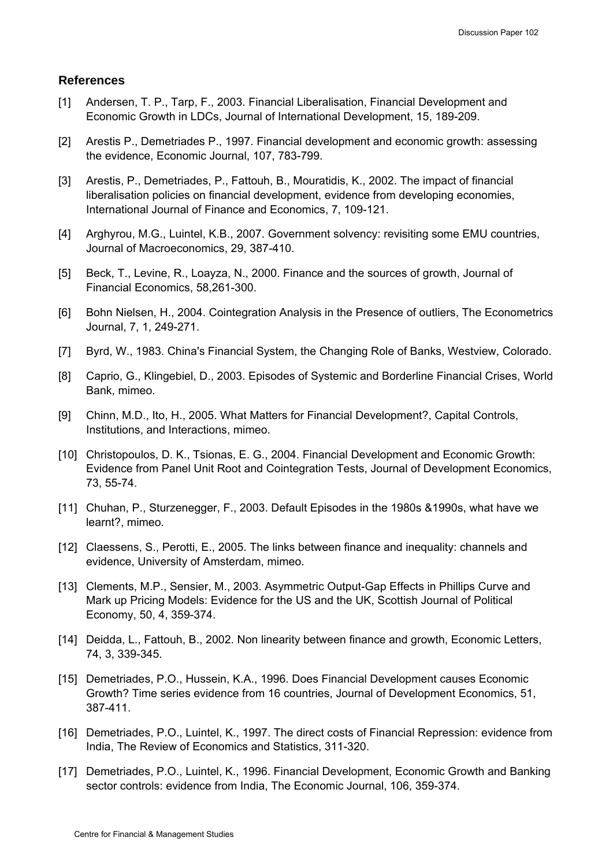## **References**

- [1] Andersen, T. P., Tarp, F., 2003. Financial Liberalisation, Financial Development and Economic Growth in LDCs, Journal of International Development, 15, 189-209.
- [2] Arestis P., Demetriades P., 1997. Financial development and economic growth: assessing the evidence, Economic Journal, 107, 783-799.
- [3] Arestis, P., Demetriades, P., Fattouh, B., Mouratidis, K., 2002. The impact of financial liberalisation policies on financial development, evidence from developing economies, International Journal of Finance and Economics, 7, 109-121.
- [4] Arghyrou, M.G., Luintel, K.B., 2007. Government solvency: revisiting some EMU countries, Journal of Macroeconomics, 29, 387-410.
- [5] Beck, T., Levine, R., Loayza, N., 2000. Finance and the sources of growth, Journal of Financial Economics, 58,261-300.
- [6] Bohn Nielsen, H., 2004. Cointegration Analysis in the Presence of outliers, The Econometrics Journal, 7, 1, 249-271.
- [7] Byrd, W., 1983. China's Financial System, the Changing Role of Banks, Westview, Colorado.
- [8] Caprio, G., Klingebiel, D., 2003. Episodes of Systemic and Borderline Financial Crises, World Bank, mimeo.
- [9] Chinn, M.D., Ito, H., 2005. What Matters for Financial Development?, Capital Controls, Institutions, and Interactions, mimeo.
- [10] Christopoulos, D. K., Tsionas, E. G., 2004. Financial Development and Economic Growth: Evidence from Panel Unit Root and Cointegration Tests, Journal of Development Economics, 73, 55-74.
- [11] Chuhan, P., Sturzenegger, F., 2003. Default Episodes in the 1980s &1990s, what have we learnt?, mimeo.
- [12] Claessens, S., Perotti, E., 2005. The links between finance and inequality: channels and evidence, University of Amsterdam, mimeo.
- [13] Clements, M.P., Sensier, M., 2003. Asymmetric Output-Gap Effects in Phillips Curve and Mark up Pricing Models: Evidence for the US and the UK, Scottish Journal of Political Economy, 50, 4, 359-374.
- [14] Deidda, L., Fattouh, B., 2002. Non linearity between finance and growth, Economic Letters, 74, 3, 339-345.
- [15] Demetriades, P.O., Hussein, K.A., 1996. Does Financial Development causes Economic Growth? Time series evidence from 16 countries, Journal of Development Economics, 51, 387-411.
- [16] Demetriades, P.O., Luintel, K., 1997. The direct costs of Financial Repression: evidence from India, The Review of Economics and Statistics, 311-320.
- [17] Demetriades, P.O., Luintel, K., 1996. Financial Development, Economic Growth and Banking sector controls: evidence from India, The Economic Journal, 106, 359-374.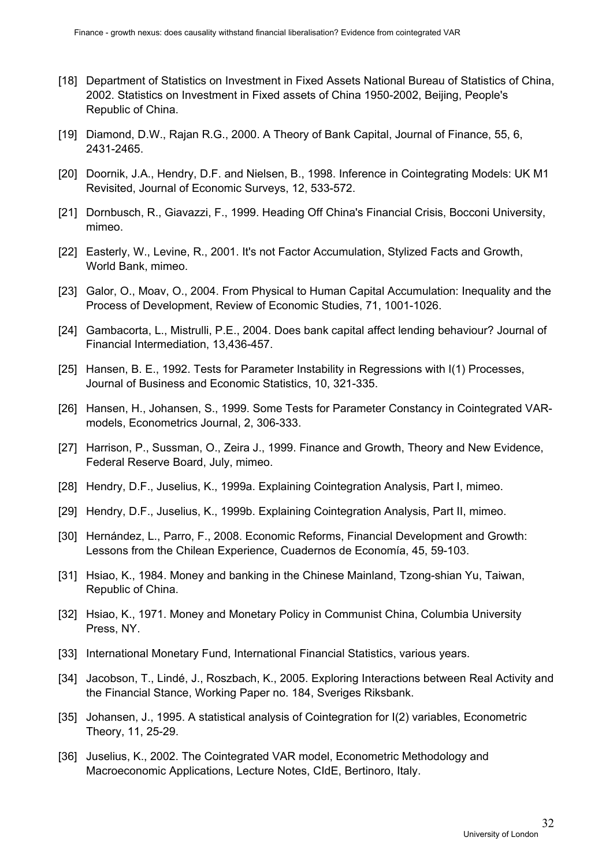- [18] Department of Statistics on Investment in Fixed Assets National Bureau of Statistics of China, 2002. Statistics on Investment in Fixed assets of China 1950-2002, Beijing, People's Republic of China.
- [19] Diamond, D.W., Rajan R.G., 2000. A Theory of Bank Capital, Journal of Finance, 55, 6, 2431-2465.
- [20] Doornik, J.A., Hendry, D.F. and Nielsen, B., 1998. Inference in Cointegrating Models: UK M1 Revisited, Journal of Economic Surveys, 12, 533-572.
- [21] Dornbusch, R., Giavazzi, F., 1999. Heading Off China's Financial Crisis, Bocconi University, mimeo.
- [22] Easterly, W., Levine, R., 2001. It's not Factor Accumulation, Stylized Facts and Growth, World Bank, mimeo.
- [23] Galor, O., Moav, O., 2004. From Physical to Human Capital Accumulation: Inequality and the Process of Development, Review of Economic Studies, 71, 1001-1026.
- [24] Gambacorta, L., Mistrulli, P.E., 2004. Does bank capital affect lending behaviour? Journal of Financial Intermediation, 13,436-457.
- [25] Hansen, B. E., 1992. Tests for Parameter Instability in Regressions with I(1) Processes, Journal of Business and Economic Statistics, 10, 321-335.
- [26] Hansen, H., Johansen, S., 1999. Some Tests for Parameter Constancy in Cointegrated VARmodels, Econometrics Journal, 2, 306-333.
- [27] Harrison, P., Sussman, O., Zeira J., 1999. Finance and Growth, Theory and New Evidence, Federal Reserve Board, July, mimeo.
- [28] Hendry, D.F., Juselius, K., 1999a. Explaining Cointegration Analysis, Part I, mimeo.
- [29] Hendry, D.F., Juselius, K., 1999b. Explaining Cointegration Analysis, Part II, mimeo.
- [30] Hernández, L., Parro, F., 2008. Economic Reforms, Financial Development and Growth: Lessons from the Chilean Experience, Cuadernos de Economía, 45, 59-103.
- [31] Hsiao, K., 1984. Money and banking in the Chinese Mainland, Tzong-shian Yu, Taiwan, Republic of China.
- [32] Hsiao, K., 1971. Money and Monetary Policy in Communist China, Columbia University Press, NY.
- [33] International Monetary Fund, International Financial Statistics, various years.
- [34] Jacobson, T., Lindé, J., Roszbach, K., 2005. Exploring Interactions between Real Activity and the Financial Stance, Working Paper no. 184, Sveriges Riksbank.
- [35] Johansen, J., 1995. A statistical analysis of Cointegration for I(2) variables, Econometric Theory, 11, 25-29.
- [36] Juselius, K., 2002. The Cointegrated VAR model, Econometric Methodology and Macroeconomic Applications, Lecture Notes, CIdE, Bertinoro, Italy.